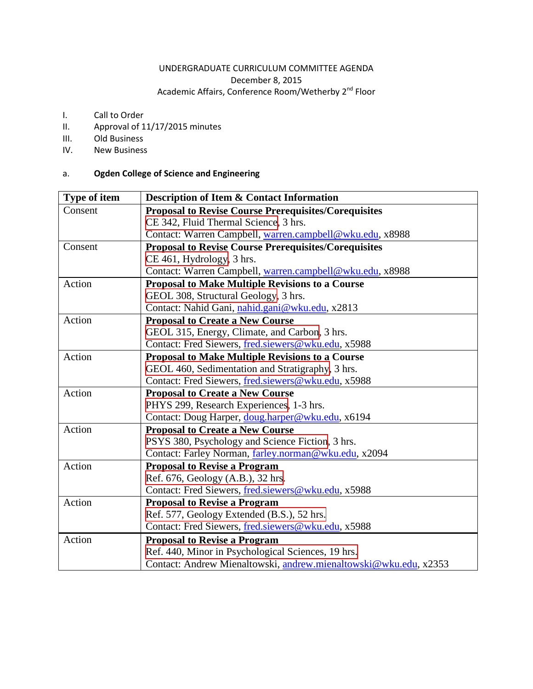# UNDERGRADUATE CURRICULUM COMMITTEE AGENDA December 8, 2015 Academic Affairs, Conference Room/Wetherby  $2^{nd}$  Floor

- <span id="page-0-0"></span>I. Call to Order
- II. Approval of 11/17/2015 minutes
- III. Old Business
- IV. New Business

# a. **Ogden College of Science and Engineering**

| Type of item | <b>Description of Item &amp; Contact Information</b>             |  |  |
|--------------|------------------------------------------------------------------|--|--|
| Consent      | <b>Proposal to Revise Course Prerequisites/Corequisites</b>      |  |  |
|              | CE 342, Fluid Thermal Science, 3 hrs.                            |  |  |
|              | Contact: Warren Campbell, warren.campbell@wku.edu, x8988         |  |  |
| Consent      | <b>Proposal to Revise Course Prerequisites/Corequisites</b>      |  |  |
|              | CE 461, Hydrology, 3 hrs.                                        |  |  |
|              | Contact: Warren Campbell, warren.campbell@wku.edu, x8988         |  |  |
| Action       | Proposal to Make Multiple Revisions to a Course                  |  |  |
|              | GEOL 308, Structural Geology, 3 hrs.                             |  |  |
|              | Contact: Nahid Gani, nahid.gani@wku.edu, x2813                   |  |  |
| Action       | <b>Proposal to Create a New Course</b>                           |  |  |
|              | GEOL 315, Energy, Climate, and Carbon, 3 hrs.                    |  |  |
|              | Contact: Fred Siewers, fred.siewers@wku.edu, x5988               |  |  |
| Action       | <b>Proposal to Make Multiple Revisions to a Course</b>           |  |  |
|              | GEOL 460, Sedimentation and Stratigraphy, 3 hrs.                 |  |  |
|              | Contact: Fred Siewers, fred.siewers@wku.edu, x5988               |  |  |
| Action       | <b>Proposal to Create a New Course</b>                           |  |  |
|              | PHYS 299, Research Experiences, 1-3 hrs.                         |  |  |
|              | Contact: Doug Harper, doug.harper@wku.edu, x6194                 |  |  |
| Action       | <b>Proposal to Create a New Course</b>                           |  |  |
|              | PSYS 380, Psychology and Science Fiction, 3 hrs.                 |  |  |
|              | Contact: Farley Norman, farley.norman@wku.edu, x2094             |  |  |
| Action       | <b>Proposal to Revise a Program</b>                              |  |  |
|              | Ref. 676, Geology (A.B.), 32 hrs.                                |  |  |
|              | Contact: Fred Siewers, fred.siewers@wku.edu, x5988               |  |  |
| Action       | <b>Proposal to Revise a Program</b>                              |  |  |
|              | Ref. 577, Geology Extended (B.S.), 52 hrs.                       |  |  |
|              | Contact: Fred Siewers, fred.siewers@wku.edu, x5988               |  |  |
| Action       | <b>Proposal to Revise a Program</b>                              |  |  |
|              | Ref. 440, Minor in Psychological Sciences, 19 hrs.               |  |  |
|              | Contact: Andrew Mienaltowski, andrew.mienaltowski@wku.edu, x2353 |  |  |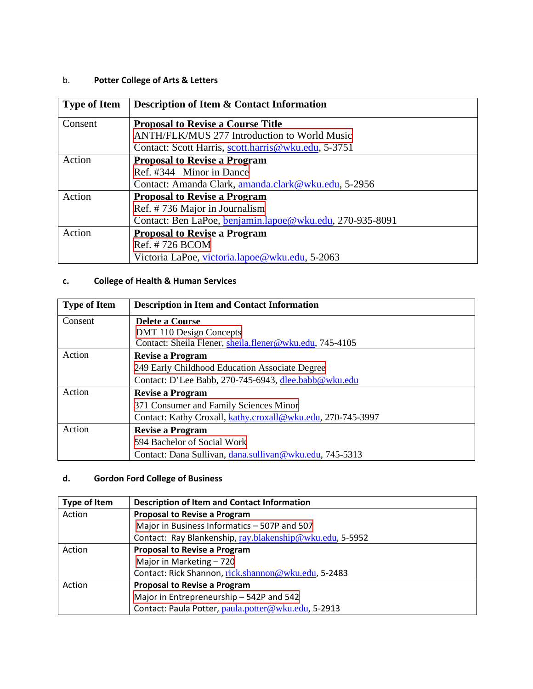# <span id="page-1-0"></span>b. **Potter College of Arts & Letters**

| <b>Type of Item</b> | <b>Description of Item &amp; Contact Information</b>     |
|---------------------|----------------------------------------------------------|
| Consent             | <b>Proposal to Revise a Course Title</b>                 |
|                     | <b>ANTH/FLK/MUS 277 Introduction to World Music</b>      |
|                     | Contact: Scott Harris, scott.harris@wku.edu, 5-3751      |
| Action              | <b>Proposal to Revise a Program</b>                      |
|                     | Ref. #344 Minor in Dance                                 |
|                     | Contact: Amanda Clark, amanda.clark@wku.edu, 5-2956      |
| Action              | <b>Proposal to Revise a Program</b>                      |
|                     | Ref. #736 Major in Journalism                            |
|                     | Contact: Ben LaPoe, benjamin.lapoe@wku.edu, 270-935-8091 |
| Action              | <b>Proposal to Revise a Program</b>                      |
|                     | Ref. #726 BCOM                                           |
|                     | Victoria LaPoe, victoria.lapoe@wku.edu, 5-2063           |

# **c. College of Health & Human Services**

| <b>Type of Item</b> | <b>Description in Item and Contact Information</b>          |
|---------------------|-------------------------------------------------------------|
| Consent             | Delete a Course                                             |
|                     | DMT 110 Design Concepts                                     |
|                     | Contact: Sheila Flener, sheila.flener@wku.edu, 745-4105     |
| Action              | <b>Revise a Program</b>                                     |
|                     | 249 Early Childhood Education Associate Degree              |
|                     | Contact: D'Lee Babb, 270-745-6943, dlee.babb@wku.edu        |
| Action              | <b>Revise a Program</b>                                     |
|                     | 371 Consumer and Family Sciences Minor                      |
|                     | Contact: Kathy Croxall, kathy.croxall@wku.edu, 270-745-3997 |
| Action              | <b>Revise a Program</b>                                     |
|                     | 594 Bachelor of Social Work                                 |
|                     | Contact: Dana Sullivan, dana.sullivan@wku.edu, 745-5313     |

# **d. Gordon Ford College of Business**

| Type of Item | <b>Description of Item and Contact Information</b>       |  |  |
|--------------|----------------------------------------------------------|--|--|
| Action       | <b>Proposal to Revise a Program</b>                      |  |  |
|              | Major in Business Informatics - 507P and 507             |  |  |
|              | Contact: Ray Blankenship, ray.blakenship@wku.edu, 5-5952 |  |  |
| Action       | <b>Proposal to Revise a Program</b>                      |  |  |
|              | Major in Marketing - 720                                 |  |  |
|              | Contact: Rick Shannon, rick.shannon@wku.edu, 5-2483      |  |  |
| Action       | <b>Proposal to Revise a Program</b>                      |  |  |
|              | Major in Entrepreneurship - 542P and 542                 |  |  |
|              | Contact: Paula Potter, paula.potter@wku.edu, 5-2913      |  |  |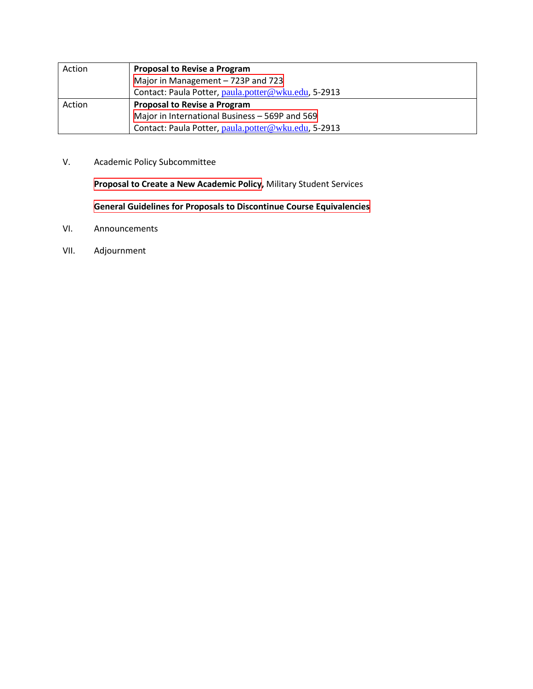<span id="page-2-0"></span>

| Action | <b>Proposal to Revise a Program</b>                 |  |  |  |
|--------|-----------------------------------------------------|--|--|--|
|        | Major in Management - 723P and 723                  |  |  |  |
|        | Contact: Paula Potter, paula.potter@wku.edu, 5-2913 |  |  |  |
| Action | <b>Proposal to Revise a Program</b>                 |  |  |  |
|        | Major in International Business - 569P and 569      |  |  |  |
|        | Contact: Paula Potter, paula.potter@wku.edu, 5-2913 |  |  |  |

V. Academic Policy Subcommittee

**[Proposal to Create a New Academic Policy,](#page-59-0)** Military Student Services

**[General Guidelines for Proposals to Discontinue Course Equivalencies](#page-61-0)**

- VI. Announcements
- VII. Adjournment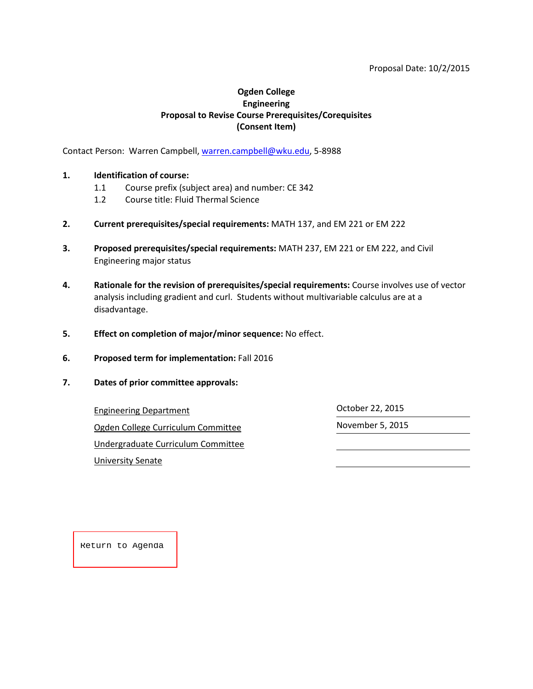#### Proposal Date: 10/2/2015

#### **Ogden College Engineering Proposal to Revise Course Prerequisites/Corequisites (Consent Item)**

<span id="page-3-0"></span>Contact Person: Warren Campbell[, warren.campbell@wku.edu,](mailto:warren.campbell@wku.edu) 5-8988

#### **1. Identification of course:**

- 1.1 Course prefix (subject area) and number: CE 342
- 1.2 Course title: Fluid Thermal Science
- **2. Current prerequisites/special requirements:** MATH 137, and EM 221 or EM 222
- **3. Proposed prerequisites/special requirements:** MATH 237, EM 221 or EM 222, and Civil Engineering major status
- **4. Rationale for the revision of prerequisites/special requirements:** Course involves use of vector analysis including gradient and curl. Students without multivariable calculus are at a disadvantage.
- **5. Effect on completion of major/minor sequence:** No effect.
- **6. Proposed term for implementation:** Fall 2016
- **7. Dates of prior committee approvals:**

Engineering Department Controller Controller 22, 2015

Ogden College Curriculum Committee November 5, 2015

Undergraduate Curriculum Committee

University Senate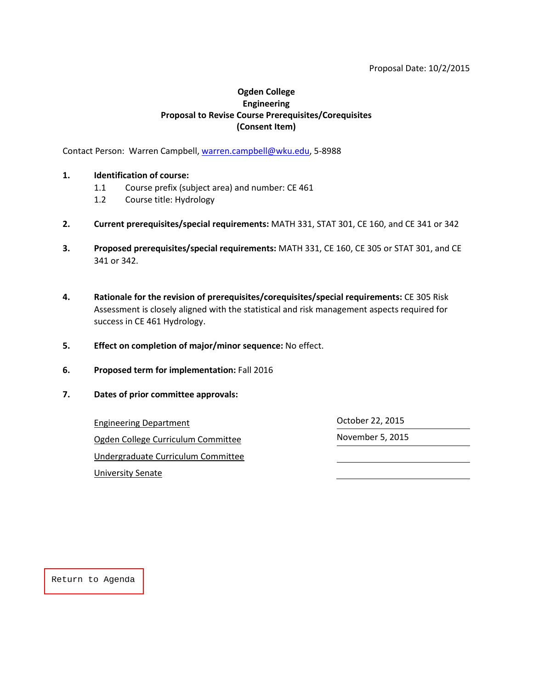#### Proposal Date: 10/2/2015

#### **Ogden College Engineering Proposal to Revise Course Prerequisites/Corequisites (Consent Item)**

<span id="page-4-0"></span>Contact Person: Warren Campbell[, warren.campbell@wku.edu,](mailto:warren.campbell@wku.edu) 5-8988

#### **1. Identification of course:**

- 1.1 Course prefix (subject area) and number: CE 461
- 1.2 Course title: Hydrology
- **2. Current prerequisites/special requirements:** MATH 331, STAT 301, CE 160, and CE 341 or 342
- **3. Proposed prerequisites/special requirements:** MATH 331, CE 160, CE 305 or STAT 301, and CE 341 or 342.
- **4. Rationale for the revision of prerequisites/corequisites/special requirements:** CE 305 Risk Assessment is closely aligned with the statistical and risk management aspects required for success in CE 461 Hydrology.
- **5. Effect on completion of major/minor sequence:** No effect.
- **6. Proposed term for implementation:** Fall 2016
- **7. Dates of prior committee approvals:**

Engineering Department Contract Contract Contract Contract Contract October 22, 2015 Ogden College Curriculum Committee Movember 5, 2015 Undergraduate Curriculum Committee University Senate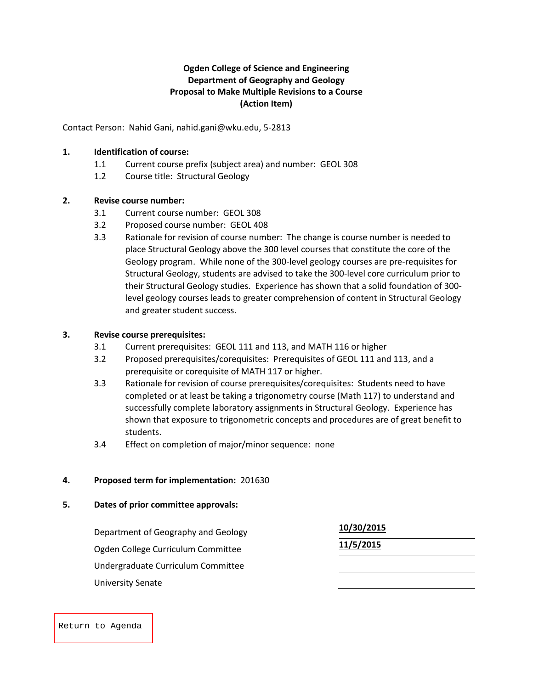### **Ogden College of Science and Engineering Department of Geography and Geology Proposal to Make Multiple Revisions to a Course (Action Item)**

<span id="page-5-0"></span>Contact Person: Nahid Gani, nahid.gani@wku.edu, 5-2813

#### **1. Identification of course:**

- 1.1 Current course prefix (subject area) and number: GEOL 308
- 1.2 Course title: Structural Geology

#### **2. Revise course number:**

- 3.1 Current course number: GEOL 308
- 3.2 Proposed course number: GEOL 408
- 3.3 Rationale for revision of course number: The change is course number is needed to place Structural Geology above the 300 level courses that constitute the core of the Geology program. While none of the 300-level geology courses are pre-requisites for Structural Geology, students are advised to take the 300-level core curriculum prior to their Structural Geology studies. Experience has shown that a solid foundation of 300 level geology courses leads to greater comprehension of content in Structural Geology and greater student success.

#### **3. Revise course prerequisites:**

- 3.1 Current prerequisites: GEOL 111 and 113, and MATH 116 or higher
- 3.2 Proposed prerequisites/corequisites: Prerequisites of GEOL 111 and 113, and a prerequisite or corequisite of MATH 117 or higher.
- 3.3 Rationale for revision of course prerequisites/corequisites: Students need to have completed or at least be taking a trigonometry course (Math 117) to understand and successfully complete laboratory assignments in Structural Geology. Experience has shown that exposure to trigonometric concepts and procedures are of great benefit to students.
- 3.4 Effect on completion of major/minor sequence: none

#### **4. Proposed term for implementation:** 201630

#### **5. Dates of prior committee approvals:**

| Department of Geography and Geology | 10/30/2015 |  |
|-------------------------------------|------------|--|
| Ogden College Curriculum Committee  | 11/5/2015  |  |
| Undergraduate Curriculum Committee  |            |  |
| <b>University Senate</b>            |            |  |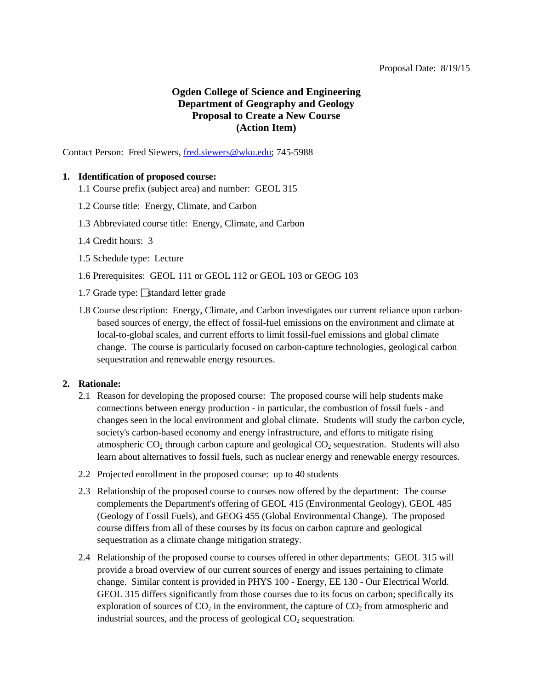# **Ogden College of Science and Engineering Department of Geography and Geology Proposal to Create a New Course (Action Item)**

<span id="page-6-0"></span>Contact Person: Fred Siewers[, fred.siewers@wku.edu;](mailto:fred.siewers@wku.edu) 745-5988

#### **1. Identification of proposed course:**

- 1.1 Course prefix (subject area) and number: GEOL 315
- 1.2 Course title: Energy, Climate, and Carbon
- 1.3 Abbreviated course title: Energy, Climate, and Carbon
- 1.4 Credit hours: 3
- 1.5 Schedule type: Lecture
- 1.6 Prerequisites: GEOL 111 or GEOL 112 or GEOL 103 or GEOG 103
- 1.7 Grade type:  $\sqrt{\frac{1}{2}}$  standard letter grade
- 1.8 Course description: Energy, Climate, and Carbon investigates our current reliance upon carbonbased sources of energy, the effect of fossil-fuel emissions on the environment and climate at local-to-global scales, and current efforts to limit fossil-fuel emissions and global climate change. The course is particularly focused on carbon-capture technologies, geological carbon sequestration and renewable energy resources.

#### **2. Rationale:**

- 2.1 Reason for developing the proposed course: The proposed course will help students make connections between energy production - in particular, the combustion of fossil fuels - and changes seen in the local environment and global climate. Students will study the carbon cycle, society's carbon-based economy and energy infrastructure, and efforts to mitigate rising atmospheric  $CO<sub>2</sub>$  through carbon capture and geological  $CO<sub>2</sub>$  sequestration. Students will also learn about alternatives to fossil fuels, such as nuclear energy and renewable energy resources.
- 2.2 Projected enrollment in the proposed course: up to 40 students
- 2.3 Relationship of the proposed course to courses now offered by the department: The course complements the Department's offering of GEOL 415 (Environmental Geology), GEOL 485 (Geology of Fossil Fuels), and GEOG 455 (Global Environmental Change). The proposed course differs from all of these courses by its focus on carbon capture and geological sequestration as a climate change mitigation strategy.
- 2.4 Relationship of the proposed course to courses offered in other departments: GEOL 315 will provide a broad overview of our current sources of energy and issues pertaining to climate change. Similar content is provided in PHYS 100 - Energy, EE 130 - Our Electrical World. GEOL 315 differs significantly from those courses due to its focus on carbon; specifically its exploration of sources of  $CO<sub>2</sub>$  in the environment, the capture of  $CO<sub>2</sub>$  from atmospheric and industrial sources, and the process of geological  $CO<sub>2</sub>$  sequestration.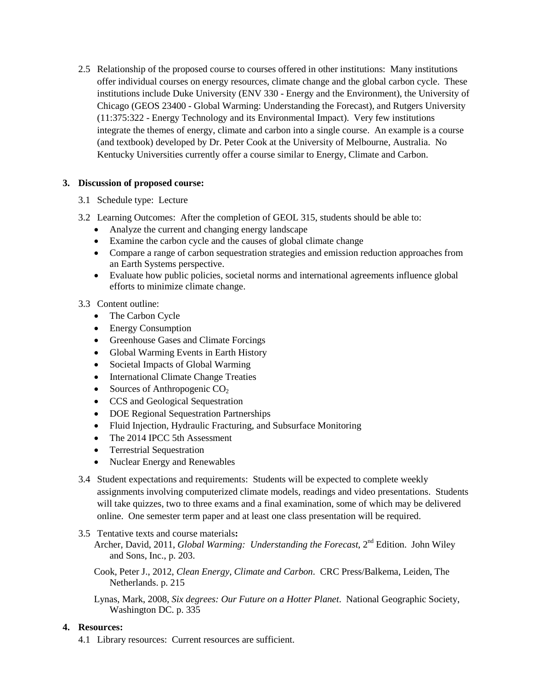2.5 Relationship of the proposed course to courses offered in other institutions: Many institutions offer individual courses on energy resources, climate change and the global carbon cycle. These institutions include Duke University (ENV 330 - Energy and the Environment), the University of Chicago (GEOS 23400 - Global Warming: Understanding the Forecast), and Rutgers University (11:375:322 - Energy Technology and its Environmental Impact). Very few institutions integrate the themes of energy, climate and carbon into a single course. An example is a course (and textbook) developed by Dr. Peter Cook at the University of Melbourne, Australia. No Kentucky Universities currently offer a course similar to Energy, Climate and Carbon.

### **3. Discussion of proposed course:**

- 3.1 Schedule type: Lecture
- 3.2 Learning Outcomes: After the completion of GEOL 315, students should be able to:
	- Analyze the current and changing energy landscape
	- Examine the carbon cycle and the causes of global climate change
	- Compare a range of carbon sequestration strategies and emission reduction approaches from an Earth Systems perspective.
	- Evaluate how public policies, societal norms and international agreements influence global efforts to minimize climate change.
- 3.3 Content outline:
	- The Carbon Cycle
	- Energy Consumption
	- Greenhouse Gases and Climate Forcings
	- Global Warming Events in Earth History
	- Societal Impacts of Global Warming
	- International Climate Change Treaties
	- Sources of Anthropogenic  $CO<sub>2</sub>$
	- CCS and Geological Sequestration
	- DOE Regional Sequestration Partnerships
	- Fluid Injection, Hydraulic Fracturing, and Subsurface Monitoring
	- The 2014 IPCC 5th Assessment
	- Terrestrial Sequestration
	- Nuclear Energy and Renewables
- 3.4 Student expectations and requirements: Students will be expected to complete weekly assignments involving computerized climate models, readings and video presentations. Students will take quizzes, two to three exams and a final examination, some of which may be delivered online. One semester term paper and at least one class presentation will be required.
- 3.5 Tentative texts and course materials**:**
	- Archer, David, 2011, *Global Warming: Understanding the Forecast*, 2<sup>nd</sup> Edition. John Wiley and Sons, Inc., p. 203.

Cook, Peter J., 2012, *Clean Energy, Climate and Carbon*. CRC Press/Balkema, Leiden, The Netherlands. p. 215

Lynas, Mark, 2008, *Six degrees: Our Future on a Hotter Planet*. National Geographic Society, Washington DC. p. 335

#### **4. Resources:**

4.1 Library resources: Current resources are sufficient.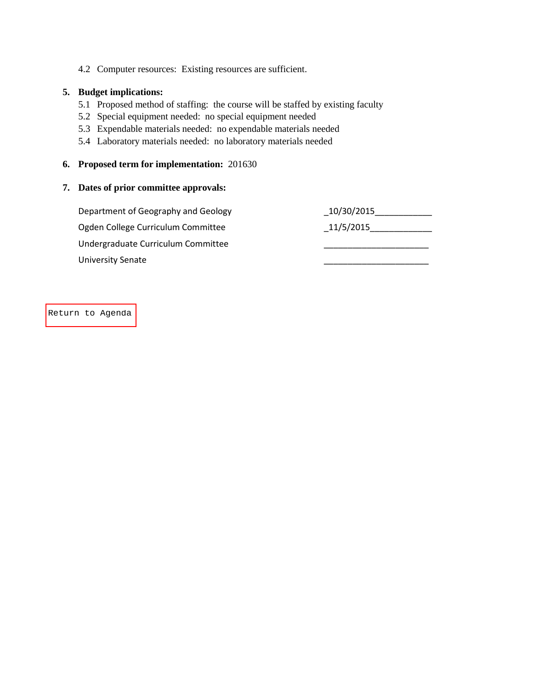4.2 Computer resources: Existing resources are sufficient.

#### **5. Budget implications:**

- 5.1 Proposed method of staffing: the course will be staffed by existing faculty
- 5.2 Special equipment needed: no special equipment needed
- 5.3 Expendable materials needed: no expendable materials needed
- 5.4 Laboratory materials needed: no laboratory materials needed

#### **6. Proposed term for implementation:** 201630

#### **7. Dates of prior committee approvals:**

Department of Geography and Geology \_10/30/2015\_\_\_\_\_\_\_\_\_\_\_\_ Ogden College Curriculum Committee  $\qquad \qquad -11/5/2015$ Undergraduate Curriculum Committee \_\_\_\_\_\_\_\_\_\_\_\_\_\_\_\_\_\_\_\_\_\_ University Senate \_\_\_\_\_\_\_\_\_\_\_\_\_\_\_\_\_\_\_\_\_\_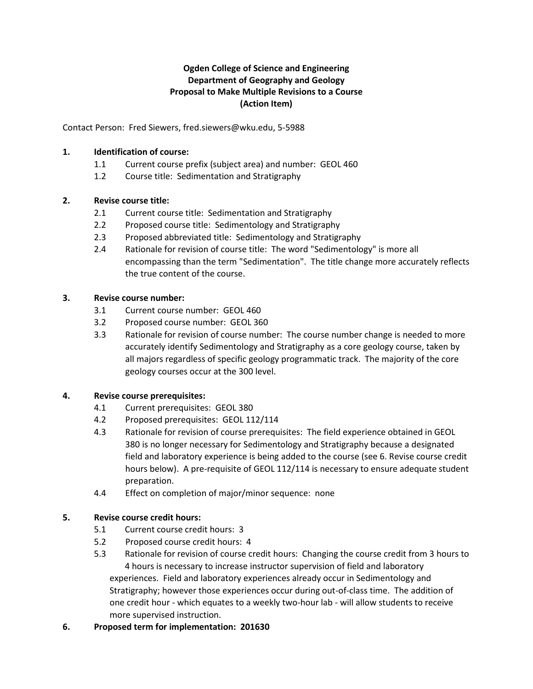# **Ogden College of Science and Engineering Department of Geography and Geology Proposal to Make Multiple Revisions to a Course (Action Item)**

<span id="page-9-0"></span>Contact Person: Fred Siewers, fred.siewers@wku.edu, 5-5988

#### **1. Identification of course:**

- 1.1 Current course prefix (subject area) and number: GEOL 460
- 1.2 Course title: Sedimentation and Stratigraphy

#### **2. Revise course title:**

- 2.1 Current course title: Sedimentation and Stratigraphy
- 2.2 Proposed course title: Sedimentology and Stratigraphy
- 2.3 Proposed abbreviated title: Sedimentology and Stratigraphy
- 2.4 Rationale for revision of course title: The word "Sedimentology" is more all encompassing than the term "Sedimentation". The title change more accurately reflects the true content of the course.

#### **3. Revise course number:**

- 3.1 Current course number: GEOL 460
- 3.2 Proposed course number: GEOL 360
- 3.3 Rationale for revision of course number: The course number change is needed to more accurately identify Sedimentology and Stratigraphy as a core geology course, taken by all majors regardless of specific geology programmatic track. The majority of the core geology courses occur at the 300 level.

#### **4. Revise course prerequisites:**

- 4.1 Current prerequisites: GEOL 380
- 4.2 Proposed prerequisites: GEOL 112/114
- 4.3 Rationale for revision of course prerequisites: The field experience obtained in GEOL 380 is no longer necessary for Sedimentology and Stratigraphy because a designated field and laboratory experience is being added to the course (see 6. Revise course credit hours below). A pre-requisite of GEOL 112/114 is necessary to ensure adequate student preparation.
- 4.4 Effect on completion of major/minor sequence: none

#### **5. Revise course credit hours:**

- 5.1 Current course credit hours: 3
- 5.2 Proposed course credit hours: 4
- 5.3 Rationale for revision of course credit hours: Changing the course credit from 3 hours to 4 hours is necessary to increase instructor supervision of field and laboratory experiences. Field and laboratory experiences already occur in Sedimentology and Stratigraphy; however those experiences occur during out-of-class time. The addition of one credit hour - which equates to a weekly two-hour lab - will allow students to receive more supervised instruction.

#### **6. Proposed term for implementation: 201630**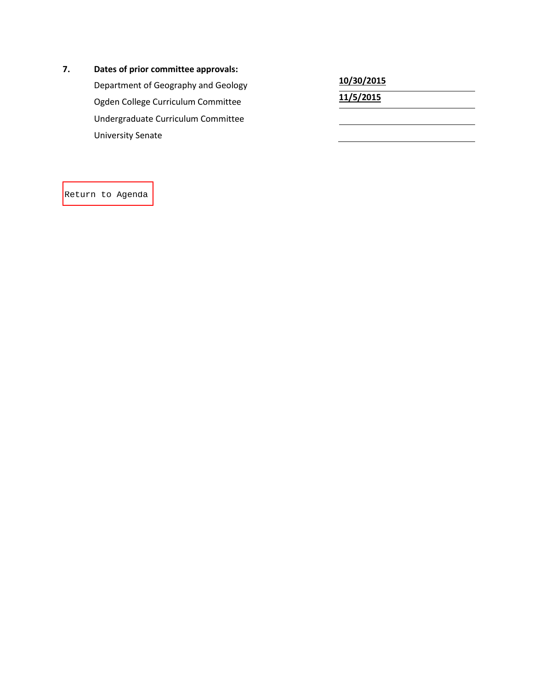#### **7 . Dates of prior committee approvals:**

Department of Geography and Geology **10/30/2015**<br>
Ogden College Curriculum Committee<br>
11/5/2015 Ogden College Curriculum Committee **11/5/2015** Undergraduate Curriculum Committee University Senate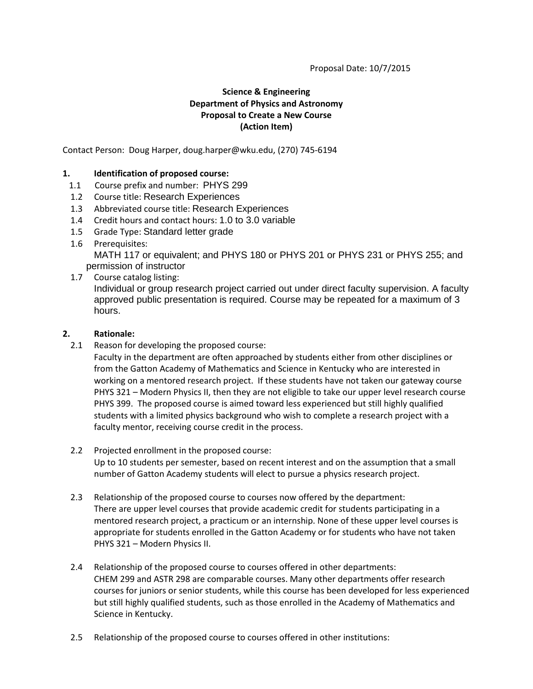# **Science & Engineering Department of Physics and Astronomy Proposal to Create a New Course (Action Item)**

<span id="page-11-0"></span>Contact Person: Doug Harper, doug.harper@wku.edu, (270) 745-6194

#### **1. Identification of proposed course:**

- 1.1 Course prefix and number: PHYS 299
- 1.2 Course title: Research Experiences
- 1.3 Abbreviated course title: Research Experiences
- 1.4 Credit hours and contact hours: 1.0 to 3.0 variable
- 1.5 Grade Type: Standard letter grade
- 1.6 Prerequisites: MATH 117 or equivalent; and PHYS 180 or PHYS 201 or PHYS 231 or PHYS 255; and permission of instructor
- 1.7 Course catalog listing:

Individual or group research project carried out under direct faculty supervision. A faculty approved public presentation is required. Course may be repeated for a maximum of 3 hours.

#### **2. Rationale:**

- 2.1 Reason for developing the proposed course:
	- Faculty in the department are often approached by students either from other disciplines or from the Gatton Academy of Mathematics and Science in Kentucky who are interested in working on a mentored research project. If these students have not taken our gateway course PHYS 321 – Modern Physics II, then they are not eligible to take our upper level research course PHYS 399. The proposed course is aimed toward less experienced but still highly qualified students with a limited physics background who wish to complete a research project with a faculty mentor, receiving course credit in the process.
- 2.2 Projected enrollment in the proposed course: Up to 10 students per semester, based on recent interest and on the assumption that a small number of Gatton Academy students will elect to pursue a physics research project.
- 2.3 Relationship of the proposed course to courses now offered by the department: There are upper level courses that provide academic credit for students participating in a mentored research project, a practicum or an internship. None of these upper level courses is appropriate for students enrolled in the Gatton Academy or for students who have not taken PHYS 321 – Modern Physics II.
- 2.4 Relationship of the proposed course to courses offered in other departments: CHEM 299 and ASTR 298 are comparable courses. Many other departments offer research courses for juniors or senior students, while this course has been developed for less experienced but still highly qualified students, such as those enrolled in the Academy of Mathematics and Science in Kentucky.
- 2.5 Relationship of the proposed course to courses offered in other institutions: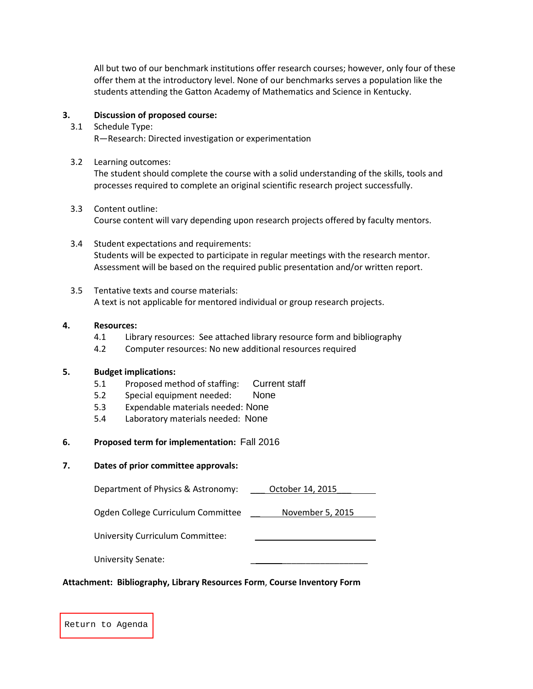All but two of our benchmark institutions offer research courses; however, only four of these offer them at the introductory level. None of our benchmarks serves a population like the students attending the Gatton Academy of Mathematics and Science in Kentucky.

#### **3. Discussion of proposed course:**

3.1 Schedule Type:

R—Research: Directed investigation or experimentation

3.2 Learning outcomes:

The student should complete the course with a solid understanding of the skills, tools and processes required to complete an original scientific research project successfully.

3.3 Content outline:

Course content will vary depending upon research projects offered by faculty mentors.

- 3.4 Student expectations and requirements: Students will be expected to participate in regular meetings with the research mentor. Assessment will be based on the required public presentation and/or written report.
- 3.5 Tentative texts and course materials: A text is not applicable for mentored individual or group research projects.

#### **4. Resources:**

- 4.1 Library resources: See attached library resource form and bibliography
- 4.2 Computer resources: No new additional resources required

#### **5. Budget implications:**

- 5.1 Proposed method of staffing: Current staff
- 5.2 Special equipment needed: None
- 5.3 Expendable materials needed: None
- 5.4 Laboratory materials needed: None

#### **6. Proposed term for implementation:** Fall 2016

#### **7. Dates of prior committee approvals:**

Department of Physics & Astronomy: \_\_\_ October 14, 2015\_\_\_

Ogden College Curriculum Committee \_\_ November 5, 2015

University Curriculum Committee:

University Senate:

#### **Attachment: Bibliography, Library Resources Form**, **Course Inventory Form**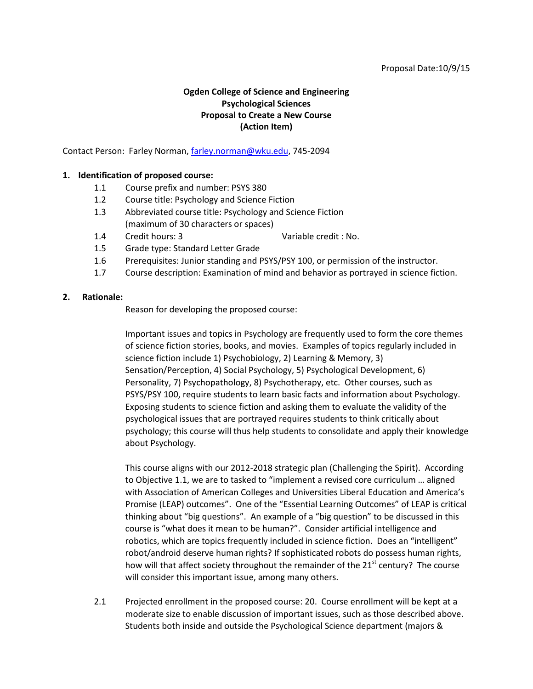#### Proposal Date:10/9/15

#### **Ogden College of Science and Engineering Psychological Sciences Proposal to Create a New Course (Action Item)**

<span id="page-13-0"></span>Contact Person: Farley Norman[, farley.norman@wku.edu,](mailto:farley.norman@wku.edu) 745-2094

#### **1. Identification of proposed course:**

- 1.1 Course prefix and number: PSYS 380
- 1.2 Course title: Psychology and Science Fiction
- 1.3 Abbreviated course title: Psychology and Science Fiction (maximum of 30 characters or spaces)
- 1.4 Credit hours: 3 Variable credit : No.
- 1.5 Grade type: Standard Letter Grade
- 1.6 Prerequisites: Junior standing and PSYS/PSY 100, or permission of the instructor.
- 1.7 Course description: Examination of mind and behavior as portrayed in science fiction.

#### **2. Rationale:**

Reason for developing the proposed course:

Important issues and topics in Psychology are frequently used to form the core themes of science fiction stories, books, and movies. Examples of topics regularly included in science fiction include 1) Psychobiology, 2) Learning & Memory, 3) Sensation/Perception, 4) Social Psychology, 5) Psychological Development, 6) Personality, 7) Psychopathology, 8) Psychotherapy, etc. Other courses, such as PSYS/PSY 100, require students to learn basic facts and information about Psychology. Exposing students to science fiction and asking them to evaluate the validity of the psychological issues that are portrayed requires students to think critically about psychology; this course will thus help students to consolidate and apply their knowledge about Psychology.

This course aligns with our 2012-2018 strategic plan (Challenging the Spirit). According to Objective 1.1, we are to tasked to "implement a revised core curriculum … aligned with Association of American Colleges and Universities Liberal Education and America's Promise (LEAP) outcomes". One of the "Essential Learning Outcomes" of LEAP is critical thinking about "big questions". An example of a "big question" to be discussed in this course is "what does it mean to be human?". Consider artificial intelligence and robotics, which are topics frequently included in science fiction. Does an "intelligent" robot/android deserve human rights? If sophisticated robots do possess human rights, how will that affect society throughout the remainder of the  $21<sup>st</sup>$  century? The course will consider this important issue, among many others.

2.1 Projected enrollment in the proposed course: 20. Course enrollment will be kept at a moderate size to enable discussion of important issues, such as those described above. Students both inside and outside the Psychological Science department (majors &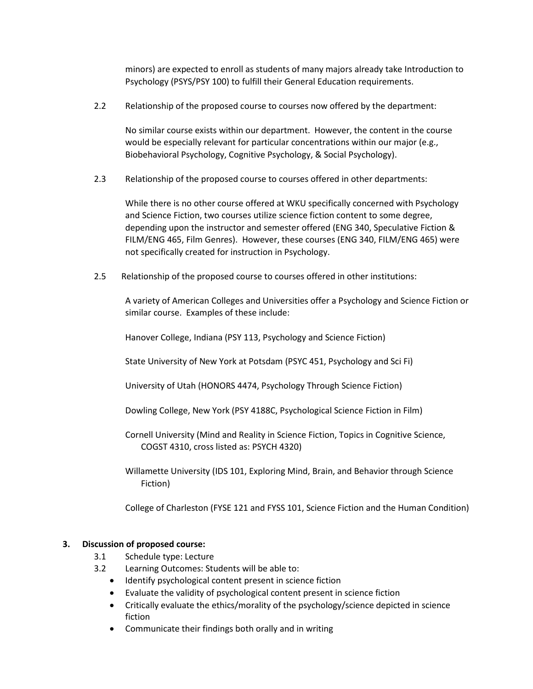minors) are expected to enroll as students of many majors already take Introduction to Psychology (PSYS/PSY 100) to fulfill their General Education requirements.

2.2 Relationship of the proposed course to courses now offered by the department:

No similar course exists within our department. However, the content in the course would be especially relevant for particular concentrations within our major (e.g., Biobehavioral Psychology, Cognitive Psychology, & Social Psychology).

2.3 Relationship of the proposed course to courses offered in other departments:

While there is no other course offered at WKU specifically concerned with Psychology and Science Fiction, two courses utilize science fiction content to some degree, depending upon the instructor and semester offered (ENG 340, Speculative Fiction & FILM/ENG 465, Film Genres). However, these courses (ENG 340, FILM/ENG 465) were not specifically created for instruction in Psychology.

2.5 Relationship of the proposed course to courses offered in other institutions:

A variety of American Colleges and Universities offer a Psychology and Science Fiction or similar course. Examples of these include:

Hanover College, Indiana (PSY 113, Psychology and Science Fiction)

State University of New York at Potsdam (PSYC 451, Psychology and Sci Fi)

University of Utah (HONORS 4474, Psychology Through Science Fiction)

- Dowling College, New York (PSY 4188C, Psychological Science Fiction in Film)
- Cornell University (Mind and Reality in Science Fiction, Topics in Cognitive Science, COGST 4310, cross listed as: PSYCH 4320)
- Willamette University (IDS 101, Exploring Mind, Brain, and Behavior through Science Fiction)

College of Charleston (FYSE 121 and FYSS 101, Science Fiction and the Human Condition)

### **3. Discussion of proposed course:**

- 3.1 Schedule type: Lecture
- 3.2 Learning Outcomes: Students will be able to:
	- Identify psychological content present in science fiction
	- Evaluate the validity of psychological content present in science fiction
	- Critically evaluate the ethics/morality of the psychology/science depicted in science fiction
	- Communicate their findings both orally and in writing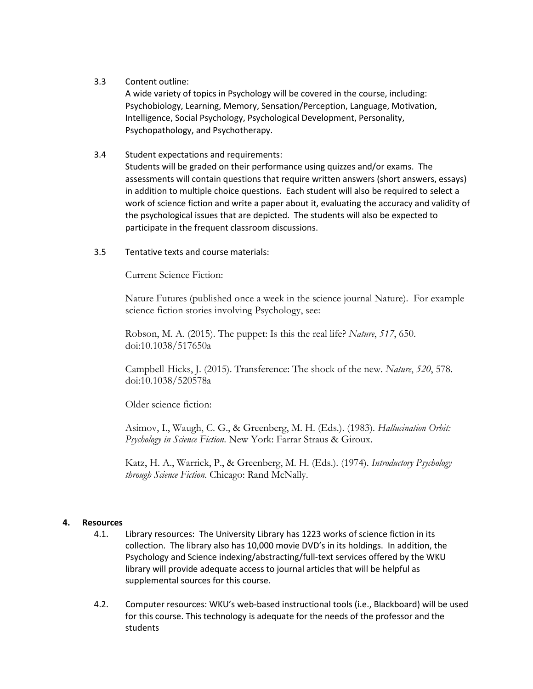#### 3.3 Content outline:

A wide variety of topics in Psychology will be covered in the course, including: Psychobiology, Learning, Memory, Sensation/Perception, Language, Motivation, Intelligence, Social Psychology, Psychological Development, Personality, Psychopathology, and Psychotherapy.

#### 3.4 Student expectations and requirements:

Students will be graded on their performance using quizzes and/or exams. The assessments will contain questions that require written answers (short answers, essays) in addition to multiple choice questions. Each student will also be required to select a work of science fiction and write a paper about it, evaluating the accuracy and validity of the psychological issues that are depicted. The students will also be expected to participate in the frequent classroom discussions.

#### 3.5 Tentative texts and course materials:

Current Science Fiction:

Nature Futures (published once a week in the science journal Nature). For example science fiction stories involving Psychology, see:

Robson, M. A. (2015). The puppet: Is this the real life? *Nature*, *517*, 650. doi:10.1038/517650a

Campbell-Hicks, J. (2015). Transference: The shock of the new. *Nature*, *520*, 578. doi:10.1038/520578a

Older science fiction:

Asimov, I., Waugh, C. G., & Greenberg, M. H. (Eds.). (1983). *Hallucination Orbit: Psychology in Science Fiction*. New York: Farrar Straus & Giroux.

Katz, H. A., Warrick, P., & Greenberg, M. H. (Eds.). (1974). *Introductory Psychology through Science Fiction*. Chicago: Rand McNally.

#### **4. Resources**

- 4.1. Library resources: The University Library has 1223 works of science fiction in its collection. The library also has 10,000 movie DVD's in its holdings. In addition, the Psychology and Science indexing/abstracting/full-text services offered by the WKU library will provide adequate access to journal articles that will be helpful as supplemental sources for this course.
- 4.2. Computer resources: WKU's web-based instructional tools (i.e., Blackboard) will be used for this course. This technology is adequate for the needs of the professor and the students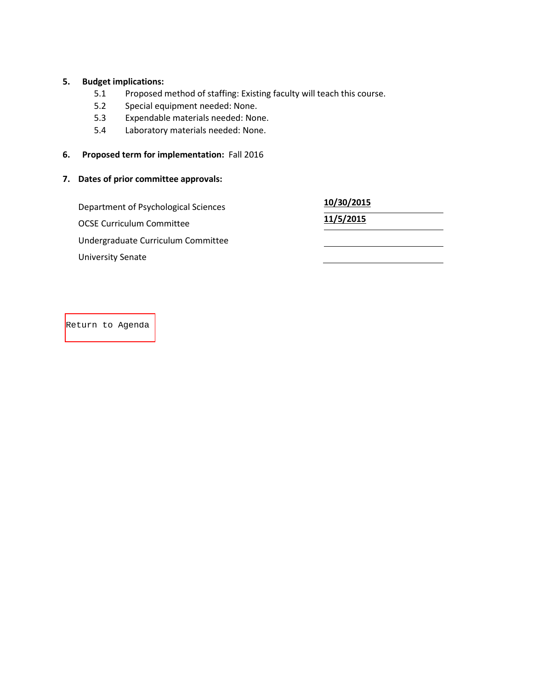#### **5. Budget implications:**

- 5.1 Proposed method of staffing: Existing faculty will teach this course.
- 5.2 Special equipment needed: None.
- 5.3 Expendable materials needed: None.
- 5.4 Laboratory materials needed: None.
- **6. Proposed term for implementation:** Fall 2016

# **7. Dates of prior committee approvals:**

| Department of Psychological Sciences | 10/30/2015 |  |
|--------------------------------------|------------|--|
| <b>OCSE Curriculum Committee</b>     | 11/5/2015  |  |
| Undergraduate Curriculum Committee   |            |  |
| <b>University Senate</b>             |            |  |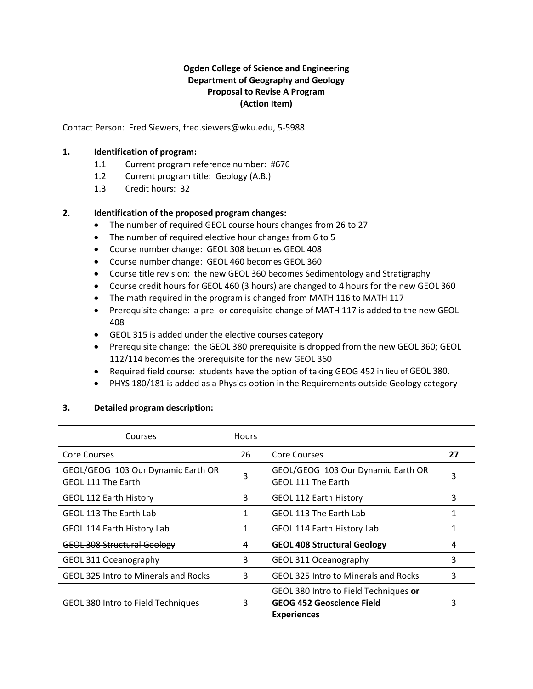### **Ogden College of Science and Engineering Department of Geography and Geology Proposal to Revise A Program (Action Item)**

<span id="page-17-0"></span>Contact Person: Fred Siewers, fred.siewers@wku.edu, 5-5988

#### **1. Identification of program:**

- 1.1 Current program reference number: #676
- 1.2 Current program title: Geology (A.B.)
- 1.3 Credit hours: 32

#### **2. Identification of the proposed program changes:**

- The number of required GEOL course hours changes from 26 to 27
- The number of required elective hour changes from 6 to 5
- Course number change: GEOL 308 becomes GEOL 408
- Course number change: GEOL 460 becomes GEOL 360
- Course title revision: the new GEOL 360 becomes Sedimentology and Stratigraphy
- Course credit hours for GEOL 460 (3 hours) are changed to 4 hours for the new GEOL 360
- The math required in the program is changed from MATH 116 to MATH 117
- Prerequisite change: a pre- or corequisite change of MATH 117 is added to the new GEOL 408
- GEOL 315 is added under the elective courses category
- Prerequisite change: the GEOL 380 prerequisite is dropped from the new GEOL 360; GEOL 112/114 becomes the prerequisite for the new GEOL 360
- Required field course: students have the option of taking GEOG 452 in lieu of GEOL 380.
- PHYS 180/181 is added as a Physics option in the Requirements outside Geology category

#### **3. Detailed program description:**

| Courses                                                  | <b>Hours</b> |                                                                                                 |    |
|----------------------------------------------------------|--------------|-------------------------------------------------------------------------------------------------|----|
| <b>Core Courses</b>                                      | 26           | <b>Core Courses</b>                                                                             | 27 |
| GEOL/GEOG 103 Our Dynamic Earth OR<br>GEOL 111 The Earth | 3            | GEOL/GEOG 103 Our Dynamic Earth OR<br><b>GEOL 111 The Earth</b>                                 | 3  |
| <b>GEOL 112 Earth History</b>                            | 3            | <b>GEOL 112 Earth History</b>                                                                   | 3  |
| GEOL 113 The Earth Lab                                   | 1            | GEOL 113 The Earth Lab                                                                          |    |
| GEOL 114 Earth History Lab                               | 1            | GEOL 114 Earth History Lab                                                                      |    |
| <b>GEOL 308 Structural Geology</b>                       | 4            | <b>GEOL 408 Structural Geology</b>                                                              | 4  |
| GEOL 311 Oceanography                                    | 3            | GEOL 311 Oceanography                                                                           | 3  |
| <b>GEOL 325 Intro to Minerals and Rocks</b>              | 3            | <b>GEOL 325 Intro to Minerals and Rocks</b>                                                     | 3  |
| <b>GEOL 380 Intro to Field Techniques</b>                | 3            | GEOL 380 Intro to Field Techniques or<br><b>GEOG 452 Geoscience Field</b><br><b>Experiences</b> | 3  |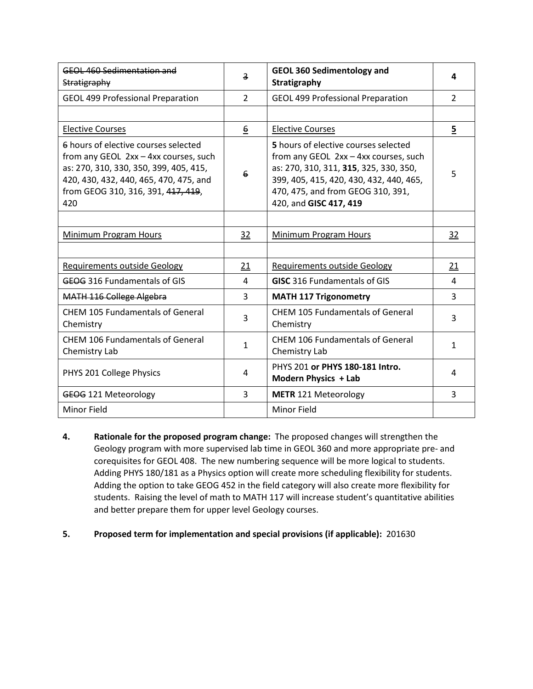| GEOL 460 Sedimentation and<br>Stratigraphy                                                                                                                                                                     | 3                | <b>GEOL 360 Sedimentology and</b><br>Stratigraphy                                                                                                                                                                                 | 4              |
|----------------------------------------------------------------------------------------------------------------------------------------------------------------------------------------------------------------|------------------|-----------------------------------------------------------------------------------------------------------------------------------------------------------------------------------------------------------------------------------|----------------|
| <b>GEOL 499 Professional Preparation</b>                                                                                                                                                                       | $\overline{2}$   | <b>GEOL 499 Professional Preparation</b>                                                                                                                                                                                          | $\overline{2}$ |
|                                                                                                                                                                                                                |                  |                                                                                                                                                                                                                                   |                |
| <b>Elective Courses</b>                                                                                                                                                                                        | $6 \overline{6}$ | <b>Elective Courses</b>                                                                                                                                                                                                           | $\overline{5}$ |
| 6 hours of elective courses selected<br>from any GEOL 2xx - 4xx courses, such<br>as: 270, 310, 330, 350, 399, 405, 415,<br>420, 430, 432, 440, 465, 470, 475, and<br>from GEOG 310, 316, 391, 417, 419,<br>420 | 6                | 5 hours of elective courses selected<br>from any GEOL 2xx - 4xx courses, such<br>as: 270, 310, 311, 315, 325, 330, 350,<br>399, 405, 415, 420, 430, 432, 440, 465,<br>470, 475, and from GEOG 310, 391,<br>420, and GISC 417, 419 | 5              |
|                                                                                                                                                                                                                |                  |                                                                                                                                                                                                                                   |                |
| <b>Minimum Program Hours</b>                                                                                                                                                                                   | 32               | <b>Minimum Program Hours</b>                                                                                                                                                                                                      | 32             |
|                                                                                                                                                                                                                |                  |                                                                                                                                                                                                                                   |                |
| <b>Requirements outside Geology</b>                                                                                                                                                                            | 21               | <b>Requirements outside Geology</b>                                                                                                                                                                                               | 21             |
| GEOG 316 Fundamentals of GIS                                                                                                                                                                                   | 4                | <b>GISC</b> 316 Fundamentals of GIS                                                                                                                                                                                               | 4              |
| MATH 116 College Algebra                                                                                                                                                                                       | $\overline{3}$   | <b>MATH 117 Trigonometry</b>                                                                                                                                                                                                      | 3              |
| <b>CHEM 105 Fundamentals of General</b><br>Chemistry                                                                                                                                                           | 3                | <b>CHEM 105 Fundamentals of General</b><br>Chemistry                                                                                                                                                                              | 3              |
| <b>CHEM 106 Fundamentals of General</b><br>Chemistry Lab                                                                                                                                                       | $\mathbf{1}$     | <b>CHEM 106 Fundamentals of General</b><br>Chemistry Lab                                                                                                                                                                          | 1              |
| PHYS 201 College Physics                                                                                                                                                                                       | 4                | PHYS 201 or PHYS 180-181 Intro.<br>Modern Physics + Lab                                                                                                                                                                           | 4              |
| GEOG 121 Meteorology                                                                                                                                                                                           | 3                | <b>METR</b> 121 Meteorology                                                                                                                                                                                                       | 3              |
| <b>Minor Field</b>                                                                                                                                                                                             |                  | <b>Minor Field</b>                                                                                                                                                                                                                |                |

- **4. Rationale for the proposed program change:** The proposed changes will strengthen the Geology program with more supervised lab time in GEOL 360 and more appropriate pre- and corequisites for GEOL 408. The new numbering sequence will be more logical to students. Adding PHYS 180/181 as a Physics option will create more scheduling flexibility for students. Adding the option to take GEOG 452 in the field category will also create more flexibility for students. Raising the level of math to MATH 117 will increase student's quantitative abilities and better prepare them for upper level Geology courses.
- **5. Proposed term for implementation and special provisions (if applicable):** 201630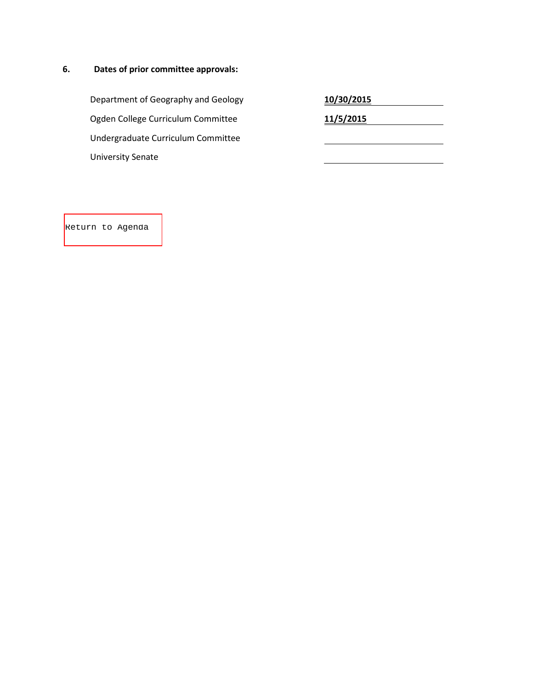# **6. Dates of prior committee approvals:**

Department of Geography and Geology **10/30/2015** Ogden College Curriculum Committee **11/5/2015** Undergraduate Curriculum Committee University Senate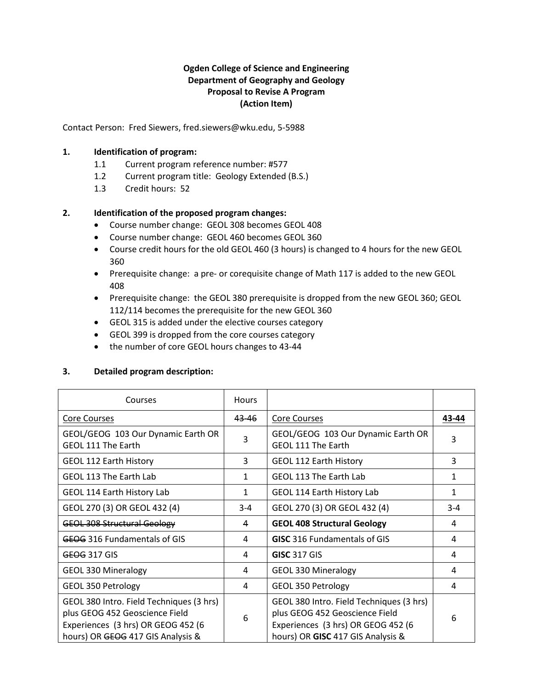### **Ogden College of Science and Engineering Department of Geography and Geology Proposal to Revise A Program (Action Item)**

<span id="page-20-0"></span>Contact Person: Fred Siewers, fred.siewers@wku.edu, 5-5988

#### **1. Identification of program:**

- 1.1 Current program reference number: #577
- 1.2 Current program title: Geology Extended (B.S.)
- 1.3 Credit hours: 52

#### **2. Identification of the proposed program changes:**

- Course number change: GEOL 308 becomes GEOL 408
- Course number change: GEOL 460 becomes GEOL 360
- Course credit hours for the old GEOL 460 (3 hours) is changed to 4 hours for the new GEOL 360
- Prerequisite change: a pre- or corequisite change of Math 117 is added to the new GEOL 408
- Prerequisite change: the GEOL 380 prerequisite is dropped from the new GEOL 360; GEOL 112/114 becomes the prerequisite for the new GEOL 360
- GEOL 315 is added under the elective courses category
- GEOL 399 is dropped from the core courses category
- the number of core GEOL hours changes to 43-44

#### **3. Detailed program description:**

| Courses                                                                                                                                               | <b>Hours</b> |                                                                                                                                                       |       |
|-------------------------------------------------------------------------------------------------------------------------------------------------------|--------------|-------------------------------------------------------------------------------------------------------------------------------------------------------|-------|
| Core Courses                                                                                                                                          | 43-46        | Core Courses                                                                                                                                          | 43-44 |
| GEOL/GEOG 103 Our Dynamic Earth OR<br>GEOL 111 The Earth                                                                                              | 3            | GEOL/GEOG 103 Our Dynamic Earth OR<br><b>GEOL 111 The Earth</b>                                                                                       | 3     |
| <b>GEOL 112 Earth History</b>                                                                                                                         | 3            | <b>GEOL 112 Earth History</b>                                                                                                                         | 3     |
| GEOL 113 The Earth Lab                                                                                                                                | 1            | GEOL 113 The Earth Lab                                                                                                                                | 1     |
| GEOL 114 Earth History Lab                                                                                                                            | $\mathbf{1}$ | GEOL 114 Earth History Lab                                                                                                                            | 1     |
| GEOL 270 (3) OR GEOL 432 (4)                                                                                                                          | $3 - 4$      | GEOL 270 (3) OR GEOL 432 (4)                                                                                                                          | $3-4$ |
| <b>GEOL 308 Structural Geology</b>                                                                                                                    | 4            | <b>GEOL 408 Structural Geology</b>                                                                                                                    | 4     |
| <b>GEOG 316 Fundamentals of GIS</b>                                                                                                                   | 4            | <b>GISC</b> 316 Fundamentals of GIS                                                                                                                   | 4     |
| <b>GEOG 317 GIS</b>                                                                                                                                   | 4            | <b>GISC 317 GIS</b>                                                                                                                                   | 4     |
| <b>GEOL 330 Mineralogy</b>                                                                                                                            | 4            | <b>GEOL 330 Mineralogy</b>                                                                                                                            | 4     |
| GEOL 350 Petrology                                                                                                                                    | 4            | GEOL 350 Petrology                                                                                                                                    | 4     |
| GEOL 380 Intro. Field Techniques (3 hrs)<br>plus GEOG 452 Geoscience Field<br>Experiences (3 hrs) OR GEOG 452 (6<br>hours) OR GEOG 417 GIS Analysis & | 6            | GEOL 380 Intro. Field Techniques (3 hrs)<br>plus GEOG 452 Geoscience Field<br>Experiences (3 hrs) OR GEOG 452 (6<br>hours) OR GISC 417 GIS Analysis & | 6     |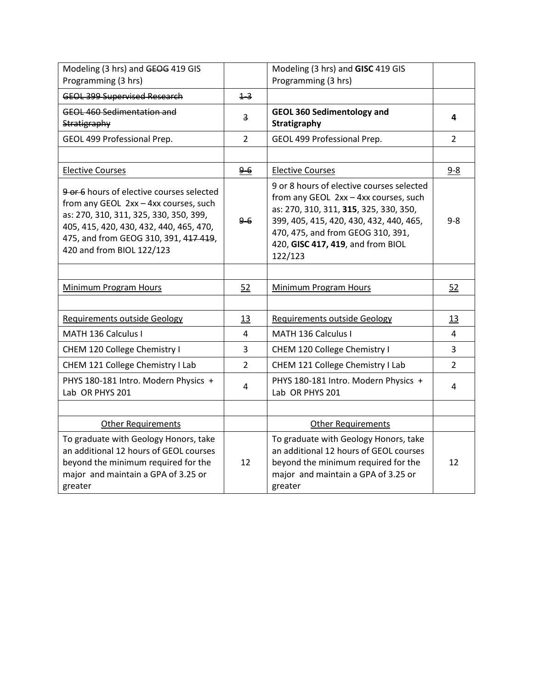| Modeling (3 hrs) and GEOG 419 GIS<br>Programming (3 hrs)                                                                                                                                                                                      |                | Modeling (3 hrs) and GISC 419 GIS<br>Programming (3 hrs)                                                                                                                                                                                                     |                |
|-----------------------------------------------------------------------------------------------------------------------------------------------------------------------------------------------------------------------------------------------|----------------|--------------------------------------------------------------------------------------------------------------------------------------------------------------------------------------------------------------------------------------------------------------|----------------|
| <b>GEOL 399 Supervised Research</b>                                                                                                                                                                                                           | $+3$           |                                                                                                                                                                                                                                                              |                |
| <b>GEOL 460 Sedimentation and</b><br>Stratigraphy                                                                                                                                                                                             | 3              | <b>GEOL 360 Sedimentology and</b><br>Stratigraphy                                                                                                                                                                                                            | 4              |
| GEOL 499 Professional Prep.                                                                                                                                                                                                                   | $\overline{2}$ | GEOL 499 Professional Prep.                                                                                                                                                                                                                                  | $\overline{2}$ |
|                                                                                                                                                                                                                                               |                |                                                                                                                                                                                                                                                              |                |
| <b>Elective Courses</b>                                                                                                                                                                                                                       | $9-6$          | <b>Elective Courses</b>                                                                                                                                                                                                                                      | $9 - 8$        |
| 9 or 6 hours of elective courses selected<br>from any GEOL 2xx - 4xx courses, such<br>as: 270, 310, 311, 325, 330, 350, 399,<br>405, 415, 420, 430, 432, 440, 465, 470,<br>475, and from GEOG 310, 391, 417 419,<br>420 and from BIOL 122/123 | $9-6$          | 9 or 8 hours of elective courses selected<br>from any GEOL 2xx - 4xx courses, such<br>as: 270, 310, 311, 315, 325, 330, 350,<br>399, 405, 415, 420, 430, 432, 440, 465,<br>470, 475, and from GEOG 310, 391,<br>420, GISC 417, 419, and from BIOL<br>122/123 | $9 - 8$        |
|                                                                                                                                                                                                                                               |                |                                                                                                                                                                                                                                                              |                |
| <b>Minimum Program Hours</b>                                                                                                                                                                                                                  | 52             | <b>Minimum Program Hours</b>                                                                                                                                                                                                                                 | 52             |
|                                                                                                                                                                                                                                               |                |                                                                                                                                                                                                                                                              |                |
| <b>Requirements outside Geology</b>                                                                                                                                                                                                           | 13             | <b>Requirements outside Geology</b>                                                                                                                                                                                                                          | 13             |
| MATH 136 Calculus I                                                                                                                                                                                                                           | 4              | MATH 136 Calculus I                                                                                                                                                                                                                                          | 4              |
| CHEM 120 College Chemistry I                                                                                                                                                                                                                  | 3              | CHEM 120 College Chemistry I                                                                                                                                                                                                                                 | $\overline{3}$ |
| CHEM 121 College Chemistry I Lab                                                                                                                                                                                                              | $\overline{2}$ | CHEM 121 College Chemistry I Lab                                                                                                                                                                                                                             | $\overline{2}$ |
| PHYS 180-181 Intro. Modern Physics +<br>Lab OR PHYS 201                                                                                                                                                                                       | 4              | PHYS 180-181 Intro. Modern Physics +<br>Lab OR PHYS 201                                                                                                                                                                                                      | 4              |
|                                                                                                                                                                                                                                               |                |                                                                                                                                                                                                                                                              |                |
| <b>Other Requirements</b>                                                                                                                                                                                                                     |                | <b>Other Requirements</b>                                                                                                                                                                                                                                    |                |
| To graduate with Geology Honors, take<br>an additional 12 hours of GEOL courses<br>beyond the minimum required for the<br>major and maintain a GPA of 3.25 or<br>greater                                                                      | 12             | To graduate with Geology Honors, take<br>an additional 12 hours of GEOL courses<br>beyond the minimum required for the<br>major and maintain a GPA of 3.25 or<br>greater                                                                                     | 12             |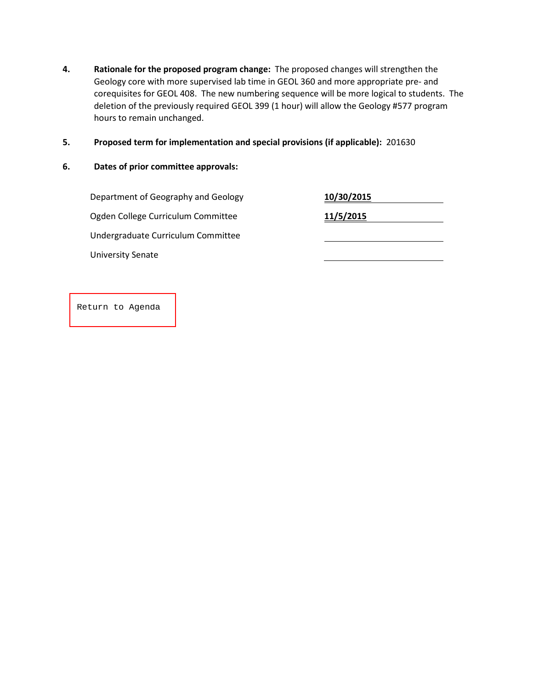- **4. Rationale for the proposed program change:** The proposed changes will strengthen the Geology core with more supervised lab time in GEOL 360 and more appropriate pre- and corequisites for GEOL 408. The new numbering sequence will be more logical to students. The deletion of the previously required GEOL 399 (1 hour) will allow the Geology #577 program hours to remain unchanged.
- **5. Proposed term for implementation and special provisions (if applicable):** 201630
- **6. Dates of prior committee approvals:**

**Department of Geography and Geology** Ogden College Curriculum Committee **11/5/2015** Undergraduate Curriculum Committee University Senate

| 10/30/2015 |  |
|------------|--|
| 11/5/2015  |  |
|            |  |
|            |  |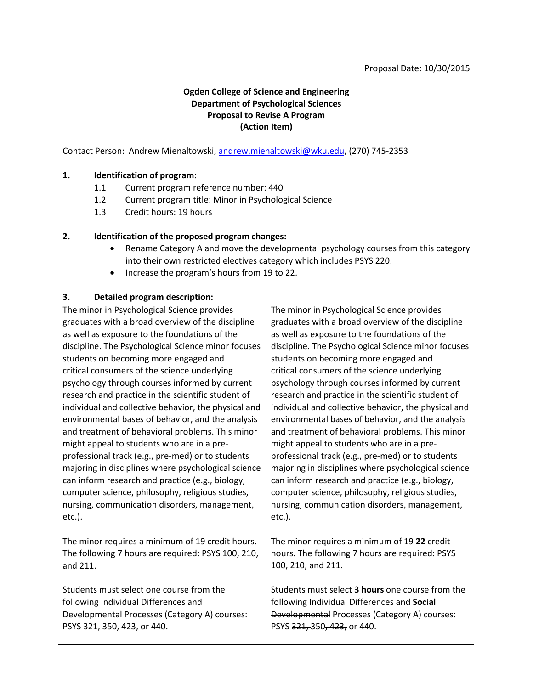# **Ogden College of Science and Engineering Department of Psychological Sciences Proposal to Revise A Program (Action Item)**

<span id="page-23-0"></span>Contact Person: Andrew Mienaltowski, [andrew.mienaltowski@wku.edu,](mailto:andrew.mienaltowski@wku.edu) (270) 745-2353

#### **1. Identification of program:**

- 1.1 Current program reference number: 440
- 1.2 Current program title: Minor in Psychological Science
- 1.3 Credit hours: 19 hours

#### **2. Identification of the proposed program changes:**

- Rename Category A and move the developmental psychology courses from this category into their own restricted electives category which includes PSYS 220.
- Increase the program's hours from 19 to 22.

#### **3. Detailed program description:**

The minor in Psychological Science provides graduates with a broad overview of the discipline as well as exposure to the foundations of the discipline. The Psychological Science minor focuses students on becoming more engaged and critical consumers of the science underlying psychology through courses informed by current research and practice in the scientific student of individual and collective behavior, the physical and environmental bases of behavior, and the analysis and treatment of behavioral problems. This minor might appeal to students who are in a preprofessional track (e.g., pre-med) or to students majoring in disciplines where psychological science can inform research and practice (e.g., biology, computer science, philosophy, religious studies, nursing, communication disorders, management, etc.).

The minor requires a minimum of 19 credit hours. The following 7 hours are required: PSYS 100, 210, and 211.

Students must select one course from the following Individual Differences and Developmental Processes (Category A) courses: PSYS 321, 350, 423, or 440.

The minor in Psychological Science provides graduates with a broad overview of the discipline as well as exposure to the foundations of the discipline. The Psychological Science minor focuses students on becoming more engaged and critical consumers of the science underlying psychology through courses informed by current research and practice in the scientific student of individual and collective behavior, the physical and environmental bases of behavior, and the analysis and treatment of behavioral problems. This minor might appeal to students who are in a preprofessional track (e.g., pre-med) or to students majoring in disciplines where psychological science can inform research and practice (e.g., biology, computer science, philosophy, religious studies, nursing, communication disorders, management, etc.).

The minor requires a minimum of 19 **22** credit hours. The following 7 hours are required: PSYS 100, 210, and 211.

Students must select **3 hours** one course from the following Individual Differences and **Social** Developmental Processes (Category A) courses: PSYS 321, 350, 423, or 440.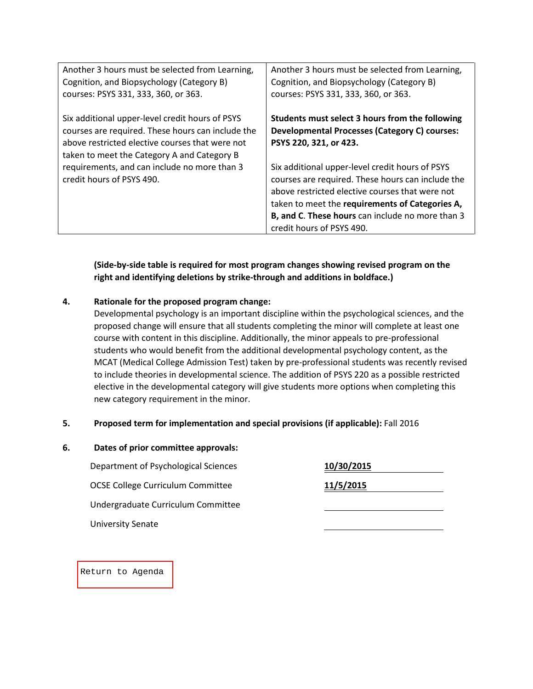| Another 3 hours must be selected from Learning,<br>Cognition, and Biopsychology (Category B)<br>courses: PSYS 331, 333, 360, or 363.                                                                   | Another 3 hours must be selected from Learning,<br>Cognition, and Biopsychology (Category B)<br>courses: PSYS 331, 333, 360, or 363.                                                                                                                                                        |
|--------------------------------------------------------------------------------------------------------------------------------------------------------------------------------------------------------|---------------------------------------------------------------------------------------------------------------------------------------------------------------------------------------------------------------------------------------------------------------------------------------------|
| Six additional upper-level credit hours of PSYS<br>courses are required. These hours can include the<br>above restricted elective courses that were not<br>taken to meet the Category A and Category B | Students must select 3 hours from the following<br><b>Developmental Processes (Category C) courses:</b><br>PSYS 220, 321, or 423.                                                                                                                                                           |
| requirements, and can include no more than 3<br>credit hours of PSYS 490.                                                                                                                              | Six additional upper-level credit hours of PSYS<br>courses are required. These hours can include the<br>above restricted elective courses that were not<br>taken to meet the requirements of Categories A,<br>B, and C. These hours can include no more than 3<br>credit hours of PSYS 490. |

**(Side-by-side table is required for most program changes showing revised program on the right and identifying deletions by strike-through and additions in boldface.)**

### **4. Rationale for the proposed program change:**

Developmental psychology is an important discipline within the psychological sciences, and the proposed change will ensure that all students completing the minor will complete at least one course with content in this discipline. Additionally, the minor appeals to pre-professional students who would benefit from the additional developmental psychology content, as the MCAT (Medical College Admission Test) taken by pre-professional students was recently revised to include theories in developmental science. The addition of PSYS 220 as a possible restricted elective in the developmental category will give students more options when completing this new category requirement in the minor.

#### **5. Proposed term for implementation and special provisions (if applicable):** Fall 2016

| 6. | Dates of prior committee approvals:      |            |  |  |
|----|------------------------------------------|------------|--|--|
|    | Department of Psychological Sciences     | 10/30/2015 |  |  |
|    | <b>OCSE College Curriculum Committee</b> | 11/5/2015  |  |  |
|    | Undergraduate Curriculum Committee       |            |  |  |
|    | <b>University Senate</b>                 |            |  |  |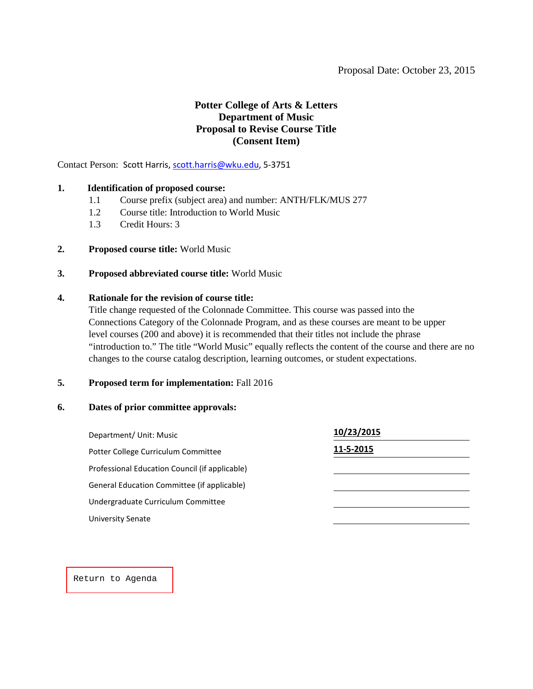# **Potter College of Arts & Letters Department of Music Proposal to Revise Course Title (Consent Item)**

<span id="page-25-0"></span>Contact Person: Scott Harris[, scott.harris@wku.edu,](mailto:scott.harris@wku.edu) 5-3751

#### **1. Identification of proposed course:**

- 1.1 Course prefix (subject area) and number: ANTH/FLK/MUS 277
- 1.2 Course title: Introduction to World Music
- 1.3 Credit Hours: 3
- **2. Proposed course title:** World Music
- **3. Proposed abbreviated course title:** World Music

#### **4. Rationale for the revision of course title:**

Title change requested of the Colonnade Committee. This course was passed into the Connections Category of the Colonnade Program, and as these courses are meant to be upper level courses (200 and above) it is recommended that their titles not include the phrase "introduction to." The title "World Music" equally reflects the content of the course and there are no changes to the course catalog description, learning outcomes, or student expectations.

#### **5. Proposed term for implementation:** Fall 2016

#### **6. Dates of prior committee approvals:**

| Department/ Unit: Music                        | 10/23/2015 |
|------------------------------------------------|------------|
| Potter College Curriculum Committee            | 11-5-2015  |
| Professional Education Council (if applicable) |            |
| General Education Committee (if applicable)    |            |
| Undergraduate Curriculum Committee             |            |
| University Senate                              |            |
|                                                |            |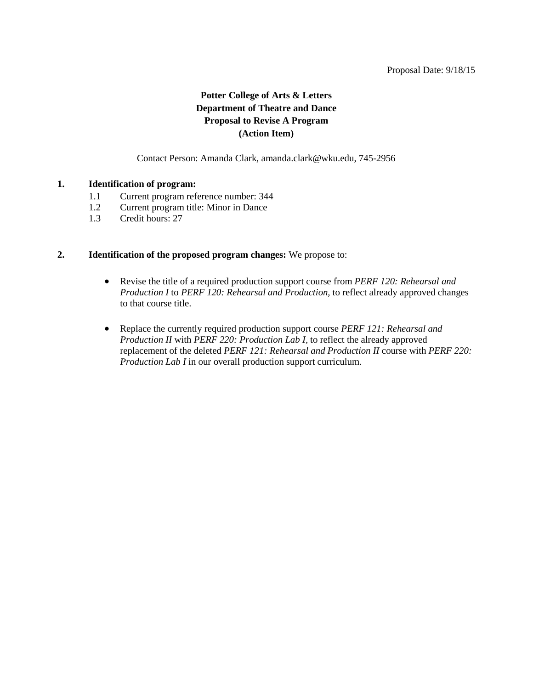# **Potter College of Arts & Letters Department of Theatre and Dance Proposal to Revise A Program (Action Item)**

Contact Person: Amanda Clark, amanda.clark@wku.edu, 745-2956

#### <span id="page-26-0"></span>**1. Identification of program:**

- 1.1 Current program reference number: 344
- 1.2 Current program title: Minor in Dance
- 1.3 Credit hours: 27

#### **2. Identification of the proposed program changes:** We propose to:

- Revise the title of a required production support course from *PERF 120: Rehearsal and Production I* to *PERF 120: Rehearsal and Production,* to reflect already approved changes to that course title.
- Replace the currently required production support course *PERF 121: Rehearsal and Production II* with *PERF 220: Production Lab I,* to reflect the already approved replacement of the deleted *PERF 121: Rehearsal and Production II* course with *PERF 220: Production Lab I* in our overall production support curriculum.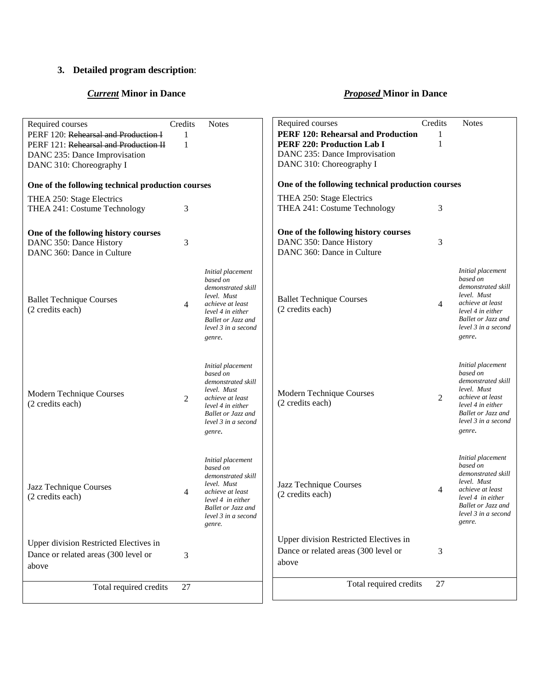# **3. Detailed program description**:

# *Current* **Minor in Dance** *Proposed* **Minor in Dance**

| Required courses                                  | Credits        | <b>Notes</b>                                     | Required courses                                  | Credits        | <b>Notes</b>                              |
|---------------------------------------------------|----------------|--------------------------------------------------|---------------------------------------------------|----------------|-------------------------------------------|
| PERF 120: Rehearsal and Production I              | 1              |                                                  | <b>PERF 120: Rehearsal and Production</b>         | 1              |                                           |
| PERF 121: Rehearsal and Production II             | 1              |                                                  | <b>PERF 220: Production Lab I</b>                 | 1              |                                           |
| DANC 235: Dance Improvisation                     |                |                                                  | DANC 235: Dance Improvisation                     |                |                                           |
| DANC 310: Choreography I                          |                |                                                  | DANC 310: Choreography I                          |                |                                           |
| One of the following technical production courses |                |                                                  | One of the following technical production courses |                |                                           |
| THEA 250: Stage Electrics                         |                |                                                  | THEA 250: Stage Electrics                         |                |                                           |
| THEA 241: Costume Technology                      | 3              |                                                  | THEA 241: Costume Technology                      | 3              |                                           |
| One of the following history courses              |                |                                                  | One of the following history courses              |                |                                           |
| DANC 350: Dance History                           | 3              |                                                  | DANC 350: Dance History                           | 3              |                                           |
| DANC 360: Dance in Culture                        |                |                                                  | DANC 360: Dance in Culture                        |                |                                           |
|                                                   |                |                                                  |                                                   |                |                                           |
|                                                   |                | Initial placement                                |                                                   |                | Initial placement<br>based on             |
|                                                   |                | based on<br>demonstrated skill                   |                                                   |                | demonstrated skill                        |
| <b>Ballet Technique Courses</b>                   |                | level. Must                                      | <b>Ballet Technique Courses</b>                   |                | level. Must                               |
| (2 credits each)                                  | $\overline{4}$ | achieve at least<br>level 4 in either            | (2 credits each)                                  | $\overline{4}$ | achieve at least<br>level 4 in either     |
|                                                   |                | <b>Ballet or Jazz and</b>                        |                                                   |                | <b>Ballet or Jazz and</b>                 |
|                                                   |                | level 3 in a second                              |                                                   |                | level 3 in a second                       |
|                                                   |                | genre.                                           |                                                   |                | genre.                                    |
|                                                   |                |                                                  |                                                   |                |                                           |
|                                                   |                | Initial placement                                |                                                   |                | Initial placement                         |
|                                                   |                | based on                                         |                                                   |                | based on                                  |
|                                                   |                | demonstrated skill<br>level. Must                |                                                   |                | demonstrated skill<br>level. Must         |
| Modern Technique Courses                          | 2              | achieve at least                                 | Modern Technique Courses                          | 2              | achieve at least                          |
| (2 credits each)                                  |                | level 4 in either                                | (2 credits each)                                  |                | level 4 in either                         |
|                                                   |                | <b>Ballet or Jazz and</b><br>level 3 in a second |                                                   |                | Ballet or Jazz and<br>level 3 in a second |
|                                                   |                | genre.                                           |                                                   |                | genre.                                    |
|                                                   |                |                                                  |                                                   |                |                                           |
|                                                   |                | Initial placement                                |                                                   |                | Initial placement                         |
|                                                   |                | based on                                         |                                                   |                | based on                                  |
|                                                   |                | demonstrated skill                               |                                                   |                | demonstrated skill<br>level. Must         |
| Jazz Technique Courses                            | 4              | level. Must<br>achieve at least                  | Jazz Technique Courses                            | 4              | achieve at least                          |
| (2 credits each)                                  |                | level 4 in either                                | (2 credits each)                                  |                | level 4 in either                         |
|                                                   |                | Ballet or Jazz and                               |                                                   |                | Ballet or Jazz and                        |
|                                                   |                | level 3 in a second<br>genre.                    |                                                   |                | level 3 in a second<br>genre.             |
|                                                   |                |                                                  | Upper division Restricted Electives in            |                |                                           |
| Upper division Restricted Electives in            |                |                                                  | Dance or related areas (300 level or              | 3              |                                           |
| Dance or related areas (300 level or              | 3              |                                                  | above                                             |                |                                           |
| above                                             |                |                                                  |                                                   |                |                                           |
| Total required credits                            | 27             |                                                  | Total required credits                            | 27             |                                           |
|                                                   |                |                                                  |                                                   |                |                                           |
|                                                   |                |                                                  |                                                   |                |                                           |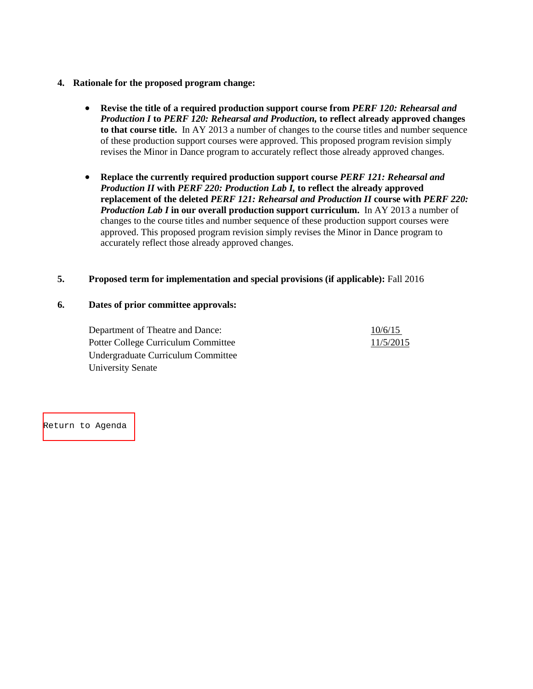#### **4. Rationale for the proposed program change:**

- **Revise the title of a required production support course from** *PERF 120: Rehearsal and Production I* **to** *PERF 120: Rehearsal and Production,* **to reflect already approved changes to that course title.** In AY 2013 a number of changes to the course titles and number sequence of these production support courses were approved. This proposed program revision simply revises the Minor in Dance program to accurately reflect those already approved changes.
- **Replace the currently required production support course** *PERF 121: Rehearsal and Production II* **with** *PERF 220: Production Lab I,* **to reflect the already approved replacement of the deleted** *PERF 121: Rehearsal and Production II* **course with** *PERF 220: Production Lab I* **in our overall production support curriculum.** In AY 2013 a number of changes to the course titles and number sequence of these production support courses were approved. This proposed program revision simply revises the Minor in Dance program to accurately reflect those already approved changes.

#### **5. Proposed term for implementation and special provisions (if applicable):** Fall 2016

#### **6. Dates of prior committee approvals:**

Department of Theatre and Dance:  $\frac{10/6/15}{2}$ Potter College Curriculum Committee 11/5/2015 Undergraduate Curriculum Committee University Senate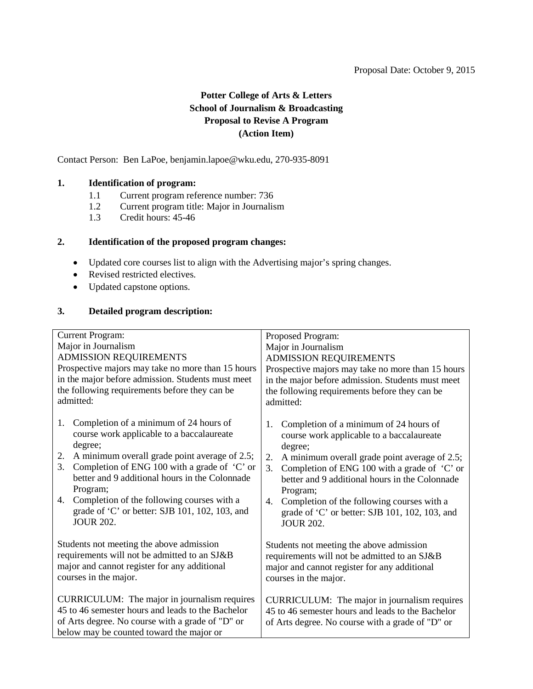# **Potter College of Arts & Letters School of Journalism & Broadcasting Proposal to Revise A Program (Action Item)**

<span id="page-29-0"></span>Contact Person: Ben LaPoe, benjamin.lapoe@wku.edu, 270-935-8091

### **1. Identification of program:**

- 1.1 Current program reference number: 736<br>1.2 Current program title: Major in Journalis
- 1.2 Current program title: Major in Journalism<br>1.3 Credit hours: 45-46
- Credit hours: 45-46

#### **2. Identification of the proposed program changes:**

- Updated core courses list to align with the Advertising major's spring changes.
- Revised restricted electives.
- Updated capstone options.

#### **3. Detailed program description:**

| <b>Current Program:</b>                                                                           | Proposed Program:                                   |
|---------------------------------------------------------------------------------------------------|-----------------------------------------------------|
| Major in Journalism                                                                               | Major in Journalism                                 |
| ADMISSION REQUIREMENTS                                                                            | <b>ADMISSION REQUIREMENTS</b>                       |
| Prospective majors may take no more than 15 hours                                                 | Prospective majors may take no more than 15 hours   |
| in the major before admission. Students must meet                                                 | in the major before admission. Students must meet   |
| the following requirements before they can be                                                     | the following requirements before they can be       |
| admitted:                                                                                         | admitted:                                           |
|                                                                                                   |                                                     |
| Completion of a minimum of 24 hours of<br>1.                                                      | Completion of a minimum of 24 hours of<br>1.        |
| course work applicable to a baccalaureate                                                         | course work applicable to a baccalaureate           |
| degree;                                                                                           | degree;                                             |
| A minimum overall grade point average of 2.5;<br>2.                                               | A minimum overall grade point average of 2.5;<br>2. |
| Completion of ENG 100 with a grade of 'C' or<br>3.                                                | Completion of ENG 100 with a grade of 'C' or<br>3.  |
| better and 9 additional hours in the Colonnade                                                    | better and 9 additional hours in the Colonnade      |
| Program;                                                                                          | Program;                                            |
| Completion of the following courses with a<br>4.                                                  | Completion of the following courses with a<br>4.    |
| grade of 'C' or better: SJB 101, 102, 103, and                                                    | grade of 'C' or better: SJB 101, 102, 103, and      |
| <b>JOUR 202.</b>                                                                                  | <b>JOUR 202.</b>                                    |
|                                                                                                   |                                                     |
| Students not meeting the above admission                                                          | Students not meeting the above admission            |
| requirements will not be admitted to an SJ&B                                                      | requirements will not be admitted to an SJ&B        |
| major and cannot register for any additional                                                      | major and cannot register for any additional        |
| courses in the major.                                                                             | courses in the major.                               |
|                                                                                                   |                                                     |
| CURRICULUM: The major in journalism requires<br>45 to 46 semester hours and leads to the Bachelor | CURRICULUM: The major in journalism requires        |
|                                                                                                   | 45 to 46 semester hours and leads to the Bachelor   |
| of Arts degree. No course with a grade of "D" or                                                  | of Arts degree. No course with a grade of "D" or    |
| below may be counted toward the major or                                                          |                                                     |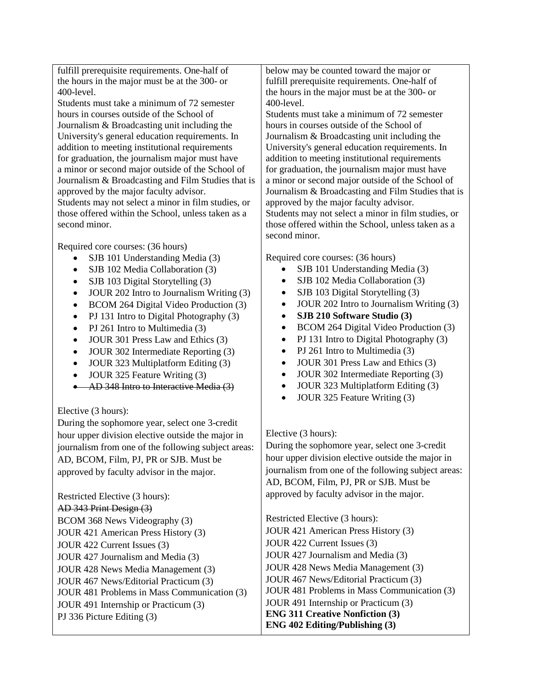fulfill prerequisite requirements. One-half of the hours in the major must be at the 300- or 400-level.

Students must take a minimum of 72 semester hours in courses outside of the School of Journalism & Broadcasting unit including the University's general education requirements. In addition to meeting institutional requirements for graduation, the journalism major must have a minor or second major outside of the School of Journalism & Broadcasting and Film Studies that is approved by the major faculty advisor. Students may not select a minor in film studies, or those offered within the School, unless taken as a second minor.

Required core courses: (36 hours)

- SJB 101 Understanding Media (3)
- SJB 102 Media Collaboration (3)
- SJB 103 Digital Storytelling (3)
- JOUR 202 Intro to Journalism Writing (3)
- BCOM 264 Digital Video Production (3)
- PJ 131 Intro to Digital Photography (3)
- PJ 261 Intro to Multimedia (3)
- JOUR 301 Press Law and Ethics (3)
- JOUR 302 Intermediate Reporting (3)
- JOUR 323 Multiplatform Editing (3)
- JOUR 325 Feature Writing (3)
- AD 348 Intro to Interactive Media (3)

Elective (3 hours):

During the sophomore year, select one 3-credit hour upper division elective outside the major in journalism from one of the following subject areas: AD, BCOM, Film, PJ, PR or SJB. Must be approved by faculty advisor in the major.

Restricted Elective (3 hours): AD 343 Print Design (3) BCOM 368 News Videography (3) JOUR 421 American Press History (3) JOUR 422 Current Issues (3) JOUR 427 Journalism and Media (3) JOUR 428 News Media Management (3) JOUR 467 News/Editorial Practicum (3) JOUR 481 Problems in Mass Communication (3) JOUR 491 Internship or Practicum (3) PJ 336 Picture Editing (3)

below may be counted toward the major or fulfill prerequisite requirements. One-half of the hours in the major must be at the 300- or 400-level.

Students must take a minimum of 72 semester hours in courses outside of the School of Journalism & Broadcasting unit including the University's general education requirements. In addition to meeting institutional requirements for graduation, the journalism major must have a minor or second major outside of the School of Journalism & Broadcasting and Film Studies that is approved by the major faculty advisor. Students may not select a minor in film studies, or those offered within the School, unless taken as a second minor.

Required core courses: (36 hours)

- SJB 101 Understanding Media (3)
- SJB 102 Media Collaboration (3)
- SJB 103 Digital Storytelling (3)
- JOUR 202 Intro to Journalism Writing (3)
- **SJB 210 Software Studio (3)**
- BCOM 264 Digital Video Production (3)
- PJ 131 Intro to Digital Photography (3)
- PJ 261 Intro to Multimedia (3)
- JOUR 301 Press Law and Ethics (3)
- JOUR 302 Intermediate Reporting (3)
- JOUR 323 Multiplatform Editing (3)
- JOUR 325 Feature Writing (3)

#### Elective (3 hours):

During the sophomore year, select one 3-credit hour upper division elective outside the major in journalism from one of the following subject areas: AD, BCOM, Film, PJ, PR or SJB. Must be approved by faculty advisor in the major.

Restricted Elective (3 hours): JOUR 421 American Press History (3) JOUR 422 Current Issues (3) JOUR 427 Journalism and Media (3) JOUR 428 News Media Management (3) JOUR 467 News/Editorial Practicum (3) JOUR 481 Problems in Mass Communication (3) JOUR 491 Internship or Practicum (3) **ENG 311 Creative Nonfiction (3) ENG 402 Editing/Publishing (3)**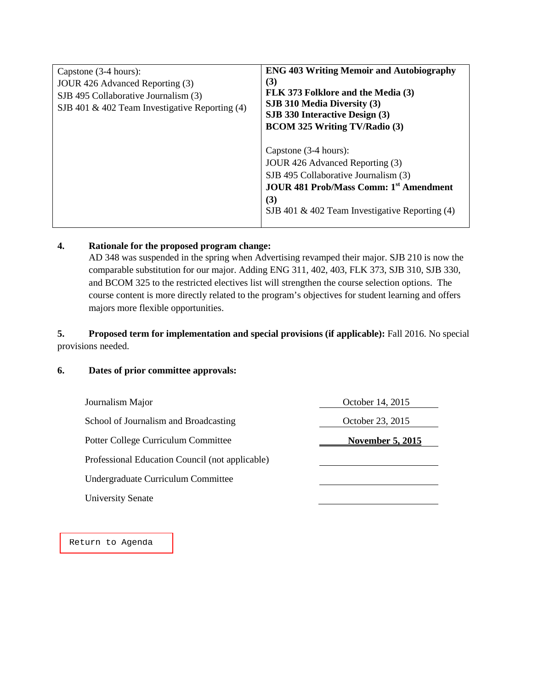| Capstone (3-4 hours):<br>JOUR 426 Advanced Reporting (3)<br>SJB 495 Collaborative Journalism (3)<br>SJB 401 & 402 Team Investigative Reporting (4) | <b>ENG 403 Writing Memoir and Autobiography</b><br>(3)<br>FLK 373 Folklore and the Media (3)<br>SJB 310 Media Diversity (3)<br>SJB 330 Interactive Design (3)<br><b>BCOM 325 Writing TV/Radio (3)</b>        |
|----------------------------------------------------------------------------------------------------------------------------------------------------|--------------------------------------------------------------------------------------------------------------------------------------------------------------------------------------------------------------|
|                                                                                                                                                    | Capstone (3-4 hours):<br>JOUR 426 Advanced Reporting (3)<br>SJB 495 Collaborative Journalism (3)<br><b>JOUR 481 Prob/Mass Comm: 1st Amendment</b><br>(3)<br>SJB 401 & 402 Team Investigative Reporting $(4)$ |

### **4. Rationale for the proposed program change:**

AD 348 was suspended in the spring when Advertising revamped their major. SJB 210 is now the comparable substitution for our major. Adding ENG 311, 402, 403, FLK 373, SJB 310, SJB 330, and BCOM 325 to the restricted electives list will strengthen the course selection options. The course content is more directly related to the program's objectives for student learning and offers majors more flexible opportunities.

# **5. Proposed term for implementation and special provisions (if applicable):** Fall 2016. No special provisions needed.

#### **6. Dates of prior committee approvals:**

| Journalism Major                                | October 14, 2015 |
|-------------------------------------------------|------------------|
| School of Journalism and Broadcasting           | October 23, 2015 |
| Potter College Curriculum Committee             | November 5, 2015 |
| Professional Education Council (not applicable) |                  |
| Undergraduate Curriculum Committee              |                  |
| <b>University Senate</b>                        |                  |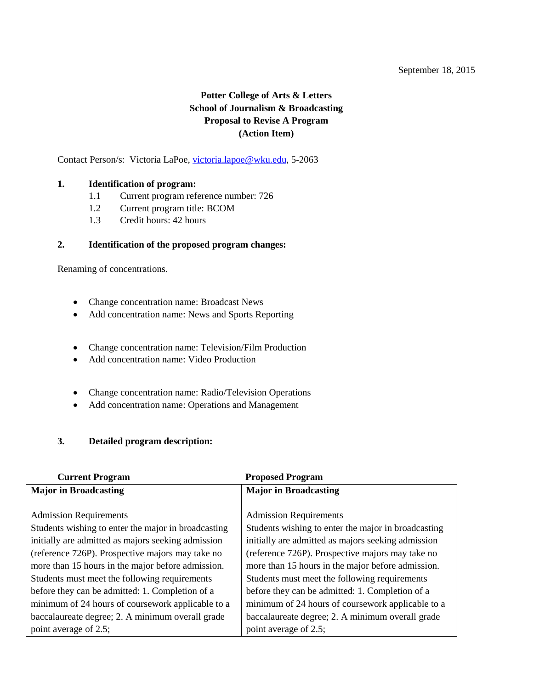#### September 18, 2015

# **Potter College of Arts & Letters School of Journalism & Broadcasting Proposal to Revise A Program (Action Item)**

<span id="page-32-0"></span>Contact Person/s: Victoria LaPoe, [victoria.lapoe@wku.edu,](mailto:victoria.lapoe@wku.edu) 5-2063

#### **1. Identification of program:**

- 1.1 Current program reference number: 726
- 1.2 Current program title: BCOM
- 1.3 Credit hours: 42 hours

#### **2. Identification of the proposed program changes:**

Renaming of concentrations.

- Change concentration name: Broadcast News
- Add concentration name: News and Sports Reporting
- Change concentration name: Television/Film Production
- Add concentration name: Video Production
- Change concentration name: Radio/Television Operations
- Add concentration name: Operations and Management

# **3. Detailed program description:**

| <b>Current Program</b>                              | <b>Proposed Program</b>                             |  |
|-----------------------------------------------------|-----------------------------------------------------|--|
| <b>Major in Broadcasting</b>                        | <b>Major in Broadcasting</b>                        |  |
|                                                     |                                                     |  |
| <b>Admission Requirements</b>                       | <b>Admission Requirements</b>                       |  |
| Students wishing to enter the major in broadcasting | Students wishing to enter the major in broadcasting |  |
| initially are admitted as majors seeking admission  | initially are admitted as majors seeking admission  |  |
| (reference 726P). Prospective majors may take no    | (reference 726P). Prospective majors may take no    |  |
| more than 15 hours in the major before admission.   | more than 15 hours in the major before admission.   |  |
| Students must meet the following requirements       | Students must meet the following requirements       |  |
| before they can be admitted: 1. Completion of a     | before they can be admitted: 1. Completion of a     |  |
| minimum of 24 hours of coursework applicable to a   | minimum of 24 hours of coursework applicable to a   |  |
| baccalaureate degree; 2. A minimum overall grade    | baccalaureate degree; 2. A minimum overall grade    |  |
| point average of 2.5;                               | point average of 2.5;                               |  |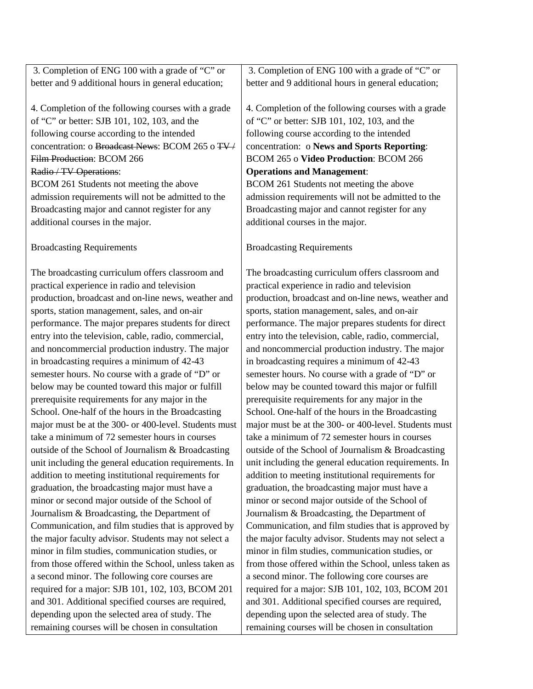| 3. Completion of ENG 100 with a grade of "C" or       | 3. Completion of ENG 100 with a grade of "C" or       |
|-------------------------------------------------------|-------------------------------------------------------|
| better and 9 additional hours in general education;   | better and 9 additional hours in general education;   |
|                                                       |                                                       |
| 4. Completion of the following courses with a grade   | 4. Completion of the following courses with a grade   |
| of "C" or better: SJB 101, 102, 103, and the          | of "C" or better: SJB 101, 102, 103, and the          |
| following course according to the intended            | following course according to the intended            |
| concentration: o Broadcast News: BCOM 265 o TV/       | concentration: o News and Sports Reporting:           |
| Film Production: BCOM 266                             | BCOM 265 o Video Production: BCOM 266                 |
| Radio / TV Operations:                                | <b>Operations and Management:</b>                     |
| BCOM 261 Students not meeting the above               | BCOM 261 Students not meeting the above               |
| admission requirements will not be admitted to the    | admission requirements will not be admitted to the    |
| Broadcasting major and cannot register for any        | Broadcasting major and cannot register for any        |
| additional courses in the major.                      | additional courses in the major.                      |
|                                                       |                                                       |
| <b>Broadcasting Requirements</b>                      | <b>Broadcasting Requirements</b>                      |
|                                                       |                                                       |
| The broadcasting curriculum offers classroom and      | The broadcasting curriculum offers classroom and      |
| practical experience in radio and television          | practical experience in radio and television          |
| production, broadcast and on-line news, weather and   | production, broadcast and on-line news, weather and   |
| sports, station management, sales, and on-air         | sports, station management, sales, and on-air         |
| performance. The major prepares students for direct   | performance. The major prepares students for direct   |
| entry into the television, cable, radio, commercial,  | entry into the television, cable, radio, commercial,  |
| and noncommercial production industry. The major      | and noncommercial production industry. The major      |
| in broadcasting requires a minimum of 42-43           | in broadcasting requires a minimum of 42-43           |
| semester hours. No course with a grade of "D" or      | semester hours. No course with a grade of "D" or      |
| below may be counted toward this major or fulfill     | below may be counted toward this major or fulfill     |
| prerequisite requirements for any major in the        | prerequisite requirements for any major in the        |
| School. One-half of the hours in the Broadcasting     | School. One-half of the hours in the Broadcasting     |
| major must be at the 300- or 400-level. Students must | major must be at the 300- or 400-level. Students must |
| take a minimum of 72 semester hours in courses        | take a minimum of 72 semester hours in courses        |
| outside of the School of Journalism $\&$ Broadcasting | outside of the School of Journalism & Broadcasting    |
| unit including the general education requirements. In | unit including the general education requirements. In |
| addition to meeting institutional requirements for    | addition to meeting institutional requirements for    |
| graduation, the broadcasting major must have a        | graduation, the broadcasting major must have a        |
| minor or second major outside of the School of        | minor or second major outside of the School of        |
| Journalism & Broadcasting, the Department of          | Journalism & Broadcasting, the Department of          |
| Communication, and film studies that is approved by   | Communication, and film studies that is approved by   |
| the major faculty advisor. Students may not select a  | the major faculty advisor. Students may not select a  |
| minor in film studies, communication studies, or      | minor in film studies, communication studies, or      |
| from those offered within the School, unless taken as | from those offered within the School, unless taken as |
| a second minor. The following core courses are        | a second minor. The following core courses are        |
| required for a major: SJB 101, 102, 103, BCOM 201     | required for a major: SJB 101, 102, 103, BCOM 201     |
| and 301. Additional specified courses are required,   | and 301. Additional specified courses are required,   |
| depending upon the selected area of study. The        | depending upon the selected area of study. The        |
| remaining courses will be chosen in consultation      | remaining courses will be chosen in consultation      |
|                                                       |                                                       |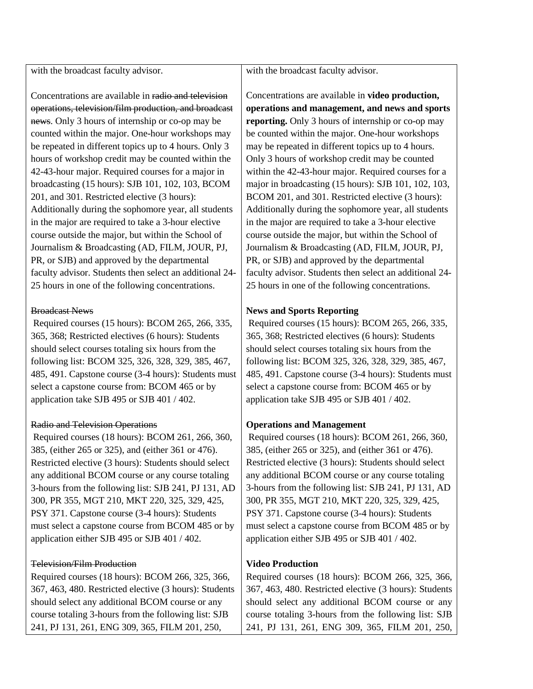with the broadcast faculty advisor.

Concentrations are available in radio and television operations, television/film production, and broadcast news. Only 3 hours of internship or co-op may be counted within the major. One-hour workshops may be repeated in different topics up to 4 hours. Only 3 hours of workshop credit may be counted within the 42-43-hour major. Required courses for a major in broadcasting (15 hours): SJB 101, 102, 103, BCOM 201, and 301. Restricted elective (3 hours): Additionally during the sophomore year, all students in the major are required to take a 3-hour elective course outside the major, but within the School of Journalism & Broadcasting (AD, FILM, JOUR, PJ, PR, or SJB) and approved by the departmental faculty advisor. Students then select an additional 24- 25 hours in one of the following concentrations.

#### Broadcast News

Required courses (15 hours): BCOM 265, 266, 335, 365, 368; Restricted electives (6 hours): Students should select courses totaling six hours from the following list: BCOM 325, 326, 328, 329, 385, 467, 485, 491. Capstone course (3-4 hours): Students must select a capstone course from: BCOM 465 or by application take SJB 495 or SJB 401 / 402.

#### Radio and Television Operations

Required courses (18 hours): BCOM 261, 266, 360, 385, (either 265 or 325), and (either 361 or 476). Restricted elective (3 hours): Students should select any additional BCOM course or any course totaling 3-hours from the following list: SJB 241, PJ 131, AD 300, PR 355, MGT 210, MKT 220, 325, 329, 425, PSY 371. Capstone course (3-4 hours): Students must select a capstone course from BCOM 485 or by application either SJB 495 or SJB 401 / 402.

#### Television/Film Production

Required courses (18 hours): BCOM 266, 325, 366, 367, 463, 480. Restricted elective (3 hours): Students should select any additional BCOM course or any course totaling 3-hours from the following list: SJB 241, PJ 131, 261, ENG 309, 365, FILM 201, 250,

with the broadcast faculty advisor.

Concentrations are available in **video production, operations and management, and news and sports reporting.** Only 3 hours of internship or co-op may be counted within the major. One-hour workshops may be repeated in different topics up to 4 hours. Only 3 hours of workshop credit may be counted within the 42-43-hour major. Required courses for a major in broadcasting (15 hours): SJB 101, 102, 103, BCOM 201, and 301. Restricted elective (3 hours): Additionally during the sophomore year, all students in the major are required to take a 3-hour elective course outside the major, but within the School of Journalism & Broadcasting (AD, FILM, JOUR, PJ, PR, or SJB) and approved by the departmental faculty advisor. Students then select an additional 24- 25 hours in one of the following concentrations.

### **News and Sports Reporting**

Required courses (15 hours): BCOM 265, 266, 335, 365, 368; Restricted electives (6 hours): Students should select courses totaling six hours from the following list: BCOM 325, 326, 328, 329, 385, 467, 485, 491. Capstone course (3-4 hours): Students must select a capstone course from: BCOM 465 or by application take SJB 495 or SJB 401 / 402.

### **Operations and Management**

Required courses (18 hours): BCOM 261, 266, 360, 385, (either 265 or 325), and (either 361 or 476). Restricted elective (3 hours): Students should select any additional BCOM course or any course totaling 3-hours from the following list: SJB 241, PJ 131, AD 300, PR 355, MGT 210, MKT 220, 325, 329, 425, PSY 371. Capstone course (3-4 hours): Students must select a capstone course from BCOM 485 or by application either SJB 495 or SJB 401 / 402.

### **Video Production**

Required courses (18 hours): BCOM 266, 325, 366, 367, 463, 480. Restricted elective (3 hours): Students should select any additional BCOM course or any course totaling 3-hours from the following list: SJB 241, PJ 131, 261, ENG 309, 365, FILM 201, 250,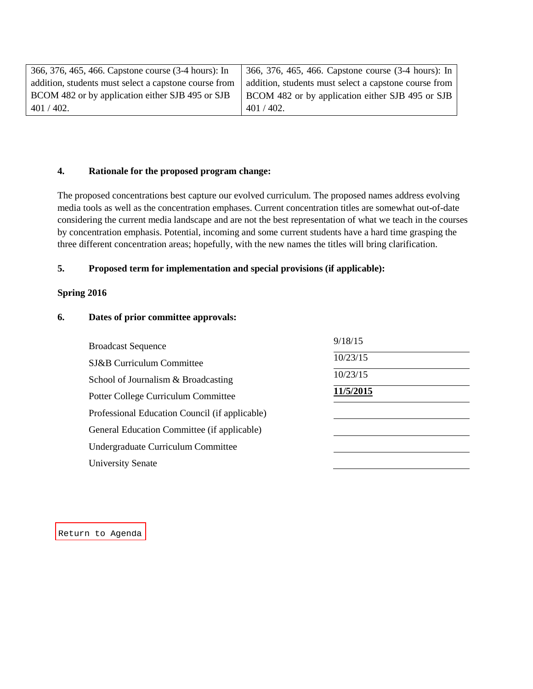| 366, 376, 465, 466. Capstone course (3-4 hours): In   | [366, 376, 465, 466. Capstone course (3-4 hours): In  |
|-------------------------------------------------------|-------------------------------------------------------|
| addition, students must select a capstone course from | addition, students must select a capstone course from |
| BCOM 482 or by application either SJB 495 or SJB      | BCOM 482 or by application either SJB 495 or SJB      |
| $401/402$ .                                           | $401/402$ .                                           |

#### **4. Rationale for the proposed program change:**

The proposed concentrations best capture our evolved curriculum. The proposed names address evolving media tools as well as the concentration emphases. Current concentration titles are somewhat out-of-date considering the current media landscape and are not the best representation of what we teach in the courses by concentration emphasis. Potential, incoming and some current students have a hard time grasping the three different concentration areas; hopefully, with the new names the titles will bring clarification.

#### **5. Proposed term for implementation and special provisions (if applicable):**

#### **Spring 2016**

#### **6. Dates of prior committee approvals:**

| <b>Broadcast Sequence</b>                      | 9/18/15   |
|------------------------------------------------|-----------|
| SJ&B Curriculum Committee                      | 10/23/15  |
| School of Journalism & Broadcasting            | 10/23/15  |
| Potter College Curriculum Committee            | 11/5/2015 |
| Professional Education Council (if applicable) |           |
| General Education Committee (if applicable)    |           |
| Undergraduate Curriculum Committee             |           |
| <b>University Senate</b>                       |           |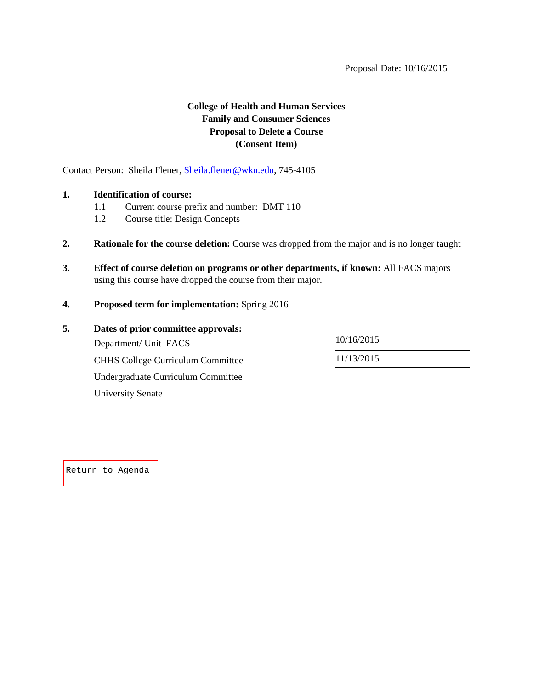# **College of Health and Human Services Family and Consumer Sciences Proposal to Delete a Course (Consent Item)**

<span id="page-36-0"></span>Contact Person: Sheila Flener, [Sheila.flener@wku.edu,](mailto:Sheila.flener@wku.edu) 745-4105

#### **1. Identification of course:**

- 1.1 Current course prefix and number: DMT 110
- 1.2 Course title: Design Concepts
- **2. Rationale for the course deletion:** Course was dropped from the major and is no longer taught
- **3. Effect of course deletion on programs or other departments, if known:** All FACS majors using this course have dropped the course from their major.
- **4. Proposed term for implementation:** Spring 2016

| 5. | Dates of prior committee approvals:      |            |  |
|----|------------------------------------------|------------|--|
|    | Department/ Unit FACS                    | 10/16/2015 |  |
|    | <b>CHHS College Curriculum Committee</b> | 11/13/2015 |  |
|    | Undergraduate Curriculum Committee       |            |  |
|    | University Senate                        |            |  |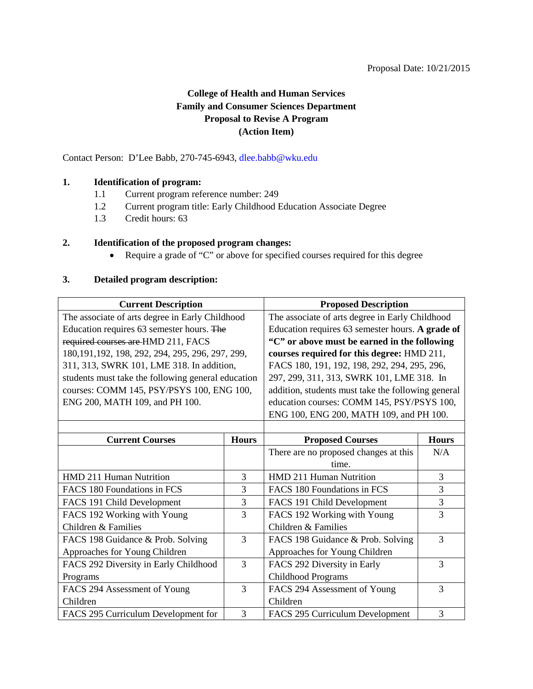#### Proposal Date: 10/21/2015

# **College of Health and Human Services Family and Consumer Sciences Department Proposal to Revise A Program (Action Item)**

<span id="page-37-0"></span>Contact Person: D'Lee Babb, 270-745-6943, [dlee.babb@wku.edu](mailto:dlee.babb@wku.edu)

#### **1. Identification of program:**

- 1.1 Current program reference number: 249
- 1.2 Current program title: Early Childhood Education Associate Degree
- 1.3 Credit hours: 63

#### **2. Identification of the proposed program changes:**

• Require a grade of "C" or above for specified courses required for this degree

#### **3. Detailed program description:**

| <b>Current Description</b>                         |              | <b>Proposed Description</b>                        |                |  |
|----------------------------------------------------|--------------|----------------------------------------------------|----------------|--|
| The associate of arts degree in Early Childhood    |              | The associate of arts degree in Early Childhood    |                |  |
| Education requires 63 semester hours. The          |              | Education requires 63 semester hours. A grade of   |                |  |
| required courses are HMD 211, FACS                 |              | "C" or above must be earned in the following       |                |  |
| 180, 191, 192, 198, 292, 294, 295, 296, 297, 299,  |              | courses required for this degree: HMD 211,         |                |  |
| 311, 313, SWRK 101, LME 318. In addition,          |              | FACS 180, 191, 192, 198, 292, 294, 295, 296,       |                |  |
| students must take the following general education |              | 297, 299, 311, 313, SWRK 101, LME 318. In          |                |  |
| courses: COMM 145, PSY/PSYS 100, ENG 100,          |              | addition, students must take the following general |                |  |
| ENG 200, MATH 109, and PH 100.                     |              | education courses: COMM 145, PSY/PSYS 100,         |                |  |
|                                                    |              | ENG 100, ENG 200, MATH 109, and PH 100.            |                |  |
|                                                    |              |                                                    |                |  |
| <b>Current Courses</b>                             | <b>Hours</b> | <b>Proposed Courses</b>                            | <b>Hours</b>   |  |
|                                                    |              | There are no proposed changes at this              | N/A            |  |
|                                                    |              | time.                                              |                |  |
| HMD 211 Human Nutrition                            | 3            | HMD 211 Human Nutrition                            | 3              |  |
| FACS 180 Foundations in FCS                        | 3            | FACS 180 Foundations in FCS                        | 3              |  |
| FACS 191 Child Development                         | 3            | FACS 191 Child Development                         | $\mathfrak{Z}$ |  |
| FACS 192 Working with Young                        | 3            | FACS 192 Working with Young                        | 3              |  |
| Children & Families                                |              | Children & Families                                |                |  |
| FACS 198 Guidance & Prob. Solving                  | 3            | FACS 198 Guidance & Prob. Solving                  | 3              |  |
| Approaches for Young Children                      |              | Approaches for Young Children                      |                |  |
| FACS 292 Diversity in Early Childhood              | 3            | FACS 292 Diversity in Early                        | 3              |  |
| Programs                                           |              | Childhood Programs                                 |                |  |
| FACS 294 Assessment of Young                       | 3            | FACS 294 Assessment of Young                       | 3              |  |
| Children                                           |              | Children                                           |                |  |
| FACS 295 Curriculum Development for                | 3            | FACS 295 Curriculum Development                    | 3              |  |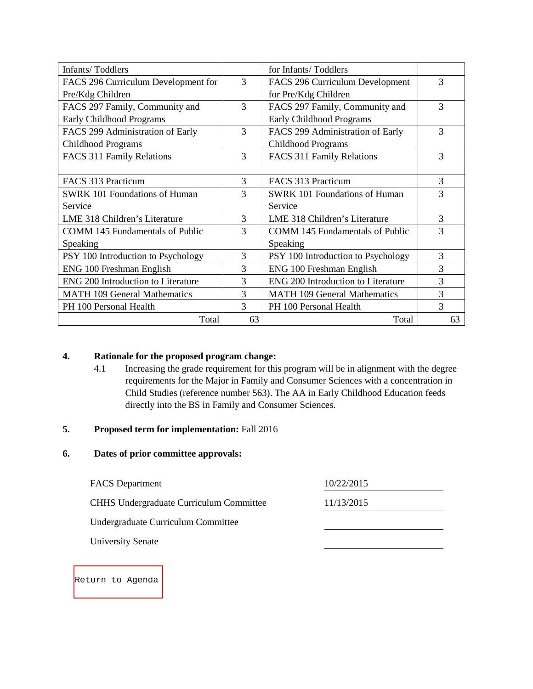| <b>Infants/Toddlers</b>                |    | for Infants/Toddlers                   |    |
|----------------------------------------|----|----------------------------------------|----|
| FACS 296 Curriculum Development for    | 3  | FACS 296 Curriculum Development        | 3  |
| Pre/Kdg Children                       |    | for Pre/Kdg Children                   |    |
| FACS 297 Family, Community and         | 3  | FACS 297 Family, Community and         | 3  |
| Early Childhood Programs               |    | Early Childhood Programs               |    |
| FACS 299 Administration of Early       | 3  | FACS 299 Administration of Early       | 3  |
| Childhood Programs                     |    | Childhood Programs                     |    |
| FACS 311 Family Relations              | 3  | FACS 311 Family Relations              | 3  |
|                                        |    |                                        |    |
| FACS 313 Practicum                     | 3  | FACS 313 Practicum                     | 3  |
| <b>SWRK 101 Foundations of Human</b>   | 3  | <b>SWRK 101 Foundations of Human</b>   | 3  |
| Service                                |    | Service                                |    |
| LME 318 Children's Literature          | 3  | LME 318 Children's Literature          | 3  |
| <b>COMM 145 Fundamentals of Public</b> | 3  | <b>COMM 145 Fundamentals of Public</b> | 3  |
| Speaking                               |    | Speaking                               |    |
| PSY 100 Introduction to Psychology     | 3  | PSY 100 Introduction to Psychology     | 3  |
| ENG 100 Freshman English               | 3  | ENG 100 Freshman English               | 3  |
| ENG 200 Introduction to Literature     | 3  | ENG 200 Introduction to Literature     | 3  |
| <b>MATH 109 General Mathematics</b>    | 3  | <b>MATH 109 General Mathematics</b>    | 3  |
| PH 100 Personal Health                 | 3  | PH 100 Personal Health                 | 3  |
| Total                                  | 63 | Total                                  | 63 |

# **4. Rationale for the proposed program change:**

4.1 Increasing the grade requirement for this program will be in alignment with the degree requirements for the Major in Family and Consumer Sciences with a concentration in Child Studies (reference number 563). The AA in Early Childhood Education feeds directly into the BS in Family and Consumer Sciences.

#### **5. Proposed term for implementation:** Fall 2016

# **6. Dates of prior committee approvals:**

| <b>FACS</b> Department                         | 10/22/2015 |
|------------------------------------------------|------------|
| <b>CHHS Undergraduate Curriculum Committee</b> | 11/13/2015 |
| Undergraduate Curriculum Committee             |            |
| <b>University Senate</b>                       |            |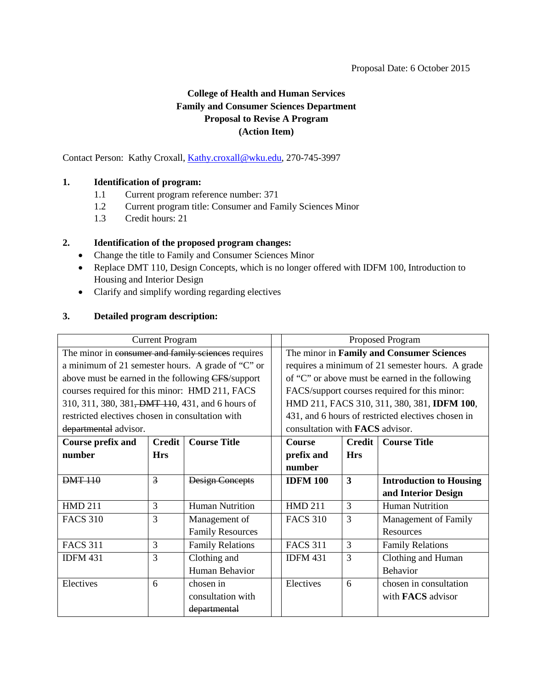# **College of Health and Human Services Family and Consumer Sciences Department Proposal to Revise A Program (Action Item)**

<span id="page-39-0"></span>Contact Person: Kathy Croxall, *Kathy.croxall@wku.edu*, 270-745-3997

#### **1. Identification of program:**

- 1.1 Current program reference number: 371
- 1.2 Current program title: Consumer and Family Sciences Minor
- 1.3 Credit hours: 21

#### **2. Identification of the proposed program changes:**

- Change the title to Family and Consumer Sciences Minor
- Replace DMT 110, Design Concepts, which is no longer offered with IDFM 100, Introduction to Housing and Interior Design
- Clarify and simplify wording regarding electives

### **3. Detailed program description:**

| <b>Current Program</b>                                        |               | Proposed Program        |                                           |                                                  |                                                    |  |
|---------------------------------------------------------------|---------------|-------------------------|-------------------------------------------|--------------------------------------------------|----------------------------------------------------|--|
| The minor in consumer and family sciences requires            |               |                         | The minor in Family and Consumer Sciences |                                                  |                                                    |  |
| a minimum of 21 semester hours. A grade of "C" or             |               |                         |                                           | requires a minimum of 21 semester hours. A grade |                                                    |  |
| above must be earned in the following CFS/support             |               |                         |                                           |                                                  | of "C" or above must be earned in the following    |  |
| courses required for this minor: HMD 211, FACS                |               |                         |                                           | FACS/support courses required for this minor:    |                                                    |  |
| 310, 311, 380, 381 <del>, DMT 110</del> , 431, and 6 hours of |               |                         |                                           |                                                  | HMD 211, FACS 310, 311, 380, 381, IDFM 100,        |  |
| restricted electives chosen in consultation with              |               |                         |                                           |                                                  | 431, and 6 hours of restricted electives chosen in |  |
| departmental advisor.                                         |               |                         |                                           | consultation with <b>FACS</b> advisor.           |                                                    |  |
| Course prefix and                                             | <b>Credit</b> | <b>Course Title</b>     | <b>Course</b>                             | <b>Credit</b>                                    | <b>Course Title</b>                                |  |
| number                                                        | <b>Hrs</b>    |                         | prefix and                                | <b>Hrs</b>                                       |                                                    |  |
|                                                               |               |                         | number                                    |                                                  |                                                    |  |
| <b>DMT 110</b>                                                | 3             | <b>Design Concepts</b>  | <b>IDFM 100</b>                           | $\overline{\mathbf{3}}$                          | <b>Introduction to Housing</b>                     |  |
|                                                               |               |                         |                                           |                                                  | and Interior Design                                |  |
| <b>HMD 211</b>                                                | 3             | <b>Human Nutrition</b>  | <b>HMD 211</b>                            | 3                                                | <b>Human Nutrition</b>                             |  |
| <b>FACS 310</b>                                               | 3             | Management of           | <b>FACS 310</b>                           | 3                                                | <b>Management of Family</b>                        |  |
|                                                               |               | <b>Family Resources</b> |                                           |                                                  | Resources                                          |  |
| <b>FACS 311</b>                                               | 3             | <b>Family Relations</b> | <b>FACS 311</b>                           | 3                                                | <b>Family Relations</b>                            |  |
| <b>IDFM 431</b>                                               | 3             | Clothing and            | <b>IDFM 431</b>                           | 3                                                | Clothing and Human                                 |  |
|                                                               |               | Human Behavior          |                                           |                                                  | Behavior                                           |  |
| Electives                                                     | 6             | chosen in               | Electives                                 | 6                                                | chosen in consultation                             |  |
|                                                               |               | consultation with       |                                           |                                                  | with <b>FACS</b> advisor                           |  |
|                                                               |               | departmental            |                                           |                                                  |                                                    |  |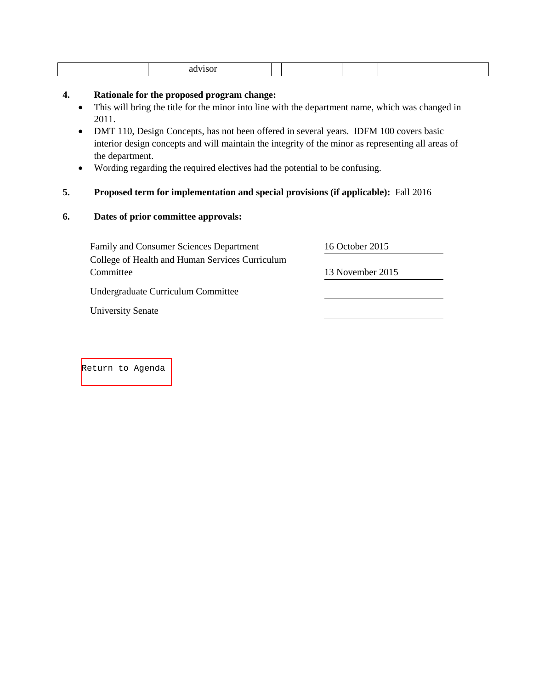|--|--|--|--|--|--|--|

#### **4. Rationale for the proposed program change:**

- This will bring the title for the minor into line with the department name, which was changed in 2011.
- DMT 110, Design Concepts, has not been offered in several years. IDFM 100 covers basic interior design concepts and will maintain the integrity of the minor as representing all areas of the department.
- Wording regarding the required electives had the potential to be confusing.

# **5. Proposed term for implementation and special provisions (if applicable):** Fall 2016

#### **6. Dates of prior committee approvals:**

| <b>Family and Consumer Sciences Department</b>  | 16 October 2015  |
|-------------------------------------------------|------------------|
| College of Health and Human Services Curriculum |                  |
| Committee                                       | 13 November 2015 |
| Undergraduate Curriculum Committee              |                  |
| <b>University Senate</b>                        |                  |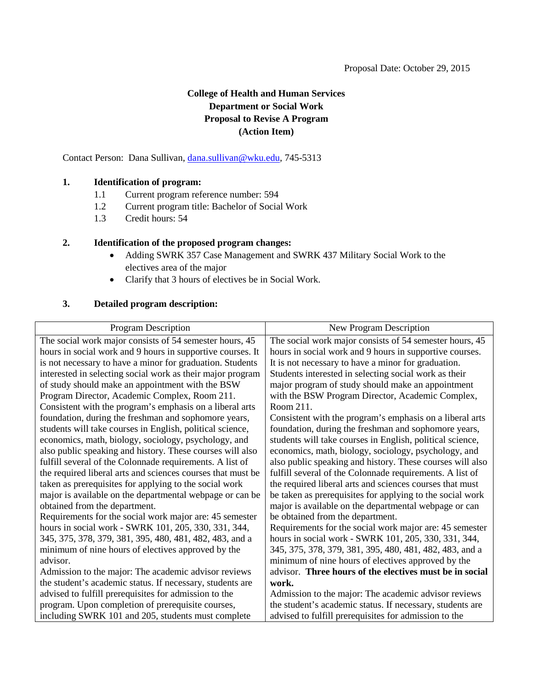# **College of Health and Human Services Department or Social Work Proposal to Revise A Program (Action Item)**

<span id="page-41-0"></span>Contact Person: Dana Sullivan, [dana.sullivan@wku.edu,](mailto:dana.sullivan@wku.edu) 745-5313

#### **1. Identification of program:**

- 1.1 Current program reference number: 594
- 1.2 Current program title: Bachelor of Social Work
- 1.3 Credit hours: 54

#### **2. Identification of the proposed program changes:**

- Adding SWRK 357 Case Management and SWRK 437 Military Social Work to the electives area of the major
- Clarify that 3 hours of electives be in Social Work.

### **3. Detailed program description:**

| <b>Program Description</b>                                  | New Program Description                                   |
|-------------------------------------------------------------|-----------------------------------------------------------|
| The social work major consists of 54 semester hours, 45     | The social work major consists of 54 semester hours, 45   |
| hours in social work and 9 hours in supportive courses. It  | hours in social work and 9 hours in supportive courses.   |
| is not necessary to have a minor for graduation. Students   | It is not necessary to have a minor for graduation.       |
| interested in selecting social work as their major program  | Students interested in selecting social work as their     |
| of study should make an appointment with the BSW            | major program of study should make an appointment         |
| Program Director, Academic Complex, Room 211.               | with the BSW Program Director, Academic Complex,          |
| Consistent with the program's emphasis on a liberal arts    | Room 211.                                                 |
| foundation, during the freshman and sophomore years,        | Consistent with the program's emphasis on a liberal arts  |
| students will take courses in English, political science,   | foundation, during the freshman and sophomore years,      |
| economics, math, biology, sociology, psychology, and        | students will take courses in English, political science, |
| also public speaking and history. These courses will also   | economics, math, biology, sociology, psychology, and      |
| fulfill several of the Colonnade requirements. A list of    | also public speaking and history. These courses will also |
| the required liberal arts and sciences courses that must be | fulfill several of the Colonnade requirements. A list of  |
| taken as prerequisites for applying to the social work      | the required liberal arts and sciences courses that must  |
| major is available on the departmental webpage or can be    | be taken as prerequisites for applying to the social work |
| obtained from the department.                               | major is available on the departmental webpage or can     |
| Requirements for the social work major are: 45 semester     | be obtained from the department.                          |
| hours in social work - SWRK 101, 205, 330, 331, 344,        | Requirements for the social work major are: 45 semester   |
| 345, 375, 378, 379, 381, 395, 480, 481, 482, 483, and a     | hours in social work - SWRK 101, 205, 330, 331, 344,      |
| minimum of nine hours of electives approved by the          | 345, 375, 378, 379, 381, 395, 480, 481, 482, 483, and a   |
| advisor.                                                    | minimum of nine hours of electives approved by the        |
| Admission to the major: The academic advisor reviews        | advisor. Three hours of the electives must be in social   |
| the student's academic status. If necessary, students are   | work.                                                     |
| advised to fulfill prerequisites for admission to the       | Admission to the major: The academic advisor reviews      |
| program. Upon completion of prerequisite courses,           | the student's academic status. If necessary, students are |
| including SWRK 101 and 205, students must complete          | advised to fulfill prerequisites for admission to the     |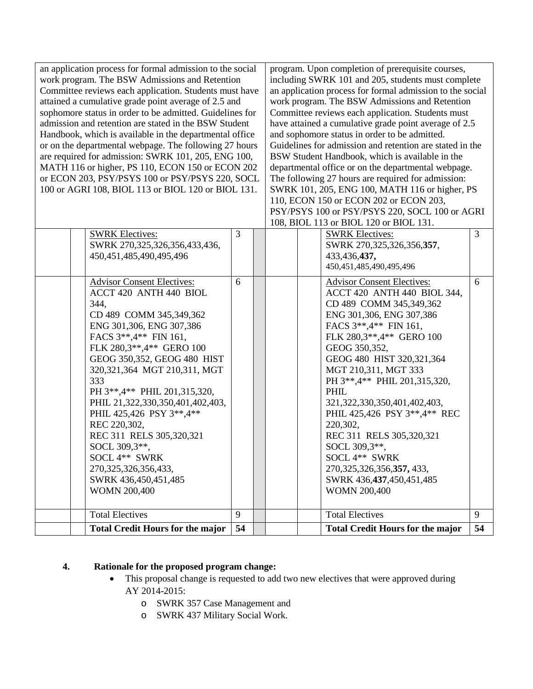| an application process for formal admission to the social<br>work program. The BSW Admissions and Retention<br>Committee reviews each application. Students must have<br>attained a cumulative grade point average of 2.5 and<br>sophomore status in order to be admitted. Guidelines for<br>admission and retention are stated in the BSW Student<br>Handbook, which is available in the departmental office<br>or on the departmental webpage. The following 27 hours<br>are required for admission: SWRK 101, 205, ENG 100,<br>MATH 116 or higher, PS 110, ECON 150 or ECON 202<br>or ECON 203, PSY/PSYS 100 or PSY/PSYS 220, SOCL<br>100 or AGRI 108, BIOL 113 or BIOL 120 or BIOL 131. |                                                                                                                                                                                                                                                                                                                                                                                                                                                                                                                    |    |  | program. Upon completion of prerequisite courses,<br>including SWRK 101 and 205, students must complete<br>an application process for formal admission to the social<br>work program. The BSW Admissions and Retention<br>Committee reviews each application. Students must<br>have attained a cumulative grade point average of 2.5<br>and sophomore status in order to be admitted.<br>Guidelines for admission and retention are stated in the<br>BSW Student Handbook, which is available in the<br>departmental office or on the departmental webpage.<br>The following 27 hours are required for admission:<br>SWRK 101, 205, ENG 100, MATH 116 or higher, PS<br>110, ECON 150 or ECON 202 or ECON 203,<br>PSY/PSYS 100 or PSY/PSYS 220, SOCL 100 or AGRI |                                                                                                                                                                                                                                                                                                                                                                                                                                                                                                                                        |    |
|---------------------------------------------------------------------------------------------------------------------------------------------------------------------------------------------------------------------------------------------------------------------------------------------------------------------------------------------------------------------------------------------------------------------------------------------------------------------------------------------------------------------------------------------------------------------------------------------------------------------------------------------------------------------------------------------|--------------------------------------------------------------------------------------------------------------------------------------------------------------------------------------------------------------------------------------------------------------------------------------------------------------------------------------------------------------------------------------------------------------------------------------------------------------------------------------------------------------------|----|--|-----------------------------------------------------------------------------------------------------------------------------------------------------------------------------------------------------------------------------------------------------------------------------------------------------------------------------------------------------------------------------------------------------------------------------------------------------------------------------------------------------------------------------------------------------------------------------------------------------------------------------------------------------------------------------------------------------------------------------------------------------------------|----------------------------------------------------------------------------------------------------------------------------------------------------------------------------------------------------------------------------------------------------------------------------------------------------------------------------------------------------------------------------------------------------------------------------------------------------------------------------------------------------------------------------------------|----|
|                                                                                                                                                                                                                                                                                                                                                                                                                                                                                                                                                                                                                                                                                             |                                                                                                                                                                                                                                                                                                                                                                                                                                                                                                                    |    |  |                                                                                                                                                                                                                                                                                                                                                                                                                                                                                                                                                                                                                                                                                                                                                                 | 108, BIOL 113 or BIOL 120 or BIOL 131.                                                                                                                                                                                                                                                                                                                                                                                                                                                                                                 |    |
|                                                                                                                                                                                                                                                                                                                                                                                                                                                                                                                                                                                                                                                                                             | <b>SWRK Electives:</b><br>SWRK 270,325,326,356,433,436,<br>450, 451, 485, 490, 495, 496                                                                                                                                                                                                                                                                                                                                                                                                                            | 3  |  |                                                                                                                                                                                                                                                                                                                                                                                                                                                                                                                                                                                                                                                                                                                                                                 | <b>SWRK Electives:</b><br>SWRK 270,325,326,356,357,<br>433,436,437,<br>450, 451, 485, 490, 495, 496                                                                                                                                                                                                                                                                                                                                                                                                                                    | 3  |
|                                                                                                                                                                                                                                                                                                                                                                                                                                                                                                                                                                                                                                                                                             | <b>Advisor Consent Electives:</b><br>ACCT 420 ANTH 440 BIOL<br>344,<br>CD 489 COMM 345,349,362<br>ENG 301,306, ENG 307,386<br>FACS 3**, 4** FIN 161,<br>FLK 280,3**,4** GERO 100<br>GEOG 350,352, GEOG 480 HIST<br>320, 321, 364 MGT 210, 311, MGT<br>333<br>PH 3**,4** PHIL 201,315,320,<br>PHIL 21,322,330,350,401,402,403,<br>PHIL 425,426 PSY 3**,4**<br>REC 220,302,<br>REC 311 RELS 305,320,321<br>SOCL 309,3**,<br>SOCL 4** SWRK<br>270, 325, 326, 356, 433,<br>SWRK 436,450,451,485<br><b>WOMN 200,400</b> | 6  |  |                                                                                                                                                                                                                                                                                                                                                                                                                                                                                                                                                                                                                                                                                                                                                                 | <b>Advisor Consent Electives:</b><br>ACCT 420 ANTH 440 BIOL 344,<br>CD 489 COMM 345,349,362<br>ENG 301,306, ENG 307,386<br>FACS 3**, 4** FIN 161,<br>FLK 280,3**,4** GERO 100<br>GEOG 350,352,<br>GEOG 480 HIST 320,321,364<br>MGT 210,311, MGT 333<br>PH 3**, 4** PHIL 201, 315, 320,<br>PHIL<br>321, 322, 330, 350, 401, 402, 403,<br>PHIL 425,426 PSY 3**,4** REC<br>220,302,<br>REC 311 RELS 305,320,321<br>SOCL 309,3**,<br>SOCL 4** SWRK<br>270, 325, 326, 356, 357, 433,<br>SWRK 436, 437, 450, 451, 485<br><b>WOMN 200,400</b> | 6  |
|                                                                                                                                                                                                                                                                                                                                                                                                                                                                                                                                                                                                                                                                                             | <b>Total Electives</b>                                                                                                                                                                                                                                                                                                                                                                                                                                                                                             | 9  |  |                                                                                                                                                                                                                                                                                                                                                                                                                                                                                                                                                                                                                                                                                                                                                                 | <b>Total Electives</b>                                                                                                                                                                                                                                                                                                                                                                                                                                                                                                                 | 9  |
|                                                                                                                                                                                                                                                                                                                                                                                                                                                                                                                                                                                                                                                                                             | <b>Total Credit Hours for the major</b>                                                                                                                                                                                                                                                                                                                                                                                                                                                                            | 54 |  |                                                                                                                                                                                                                                                                                                                                                                                                                                                                                                                                                                                                                                                                                                                                                                 | <b>Total Credit Hours for the major</b>                                                                                                                                                                                                                                                                                                                                                                                                                                                                                                | 54 |

# **4. Rationale for the proposed program change:**

- This proposal change is requested to add two new electives that were approved during AY 2014-2015:
	- o SWRK 357 Case Management and
	- o SWRK 437 Military Social Work.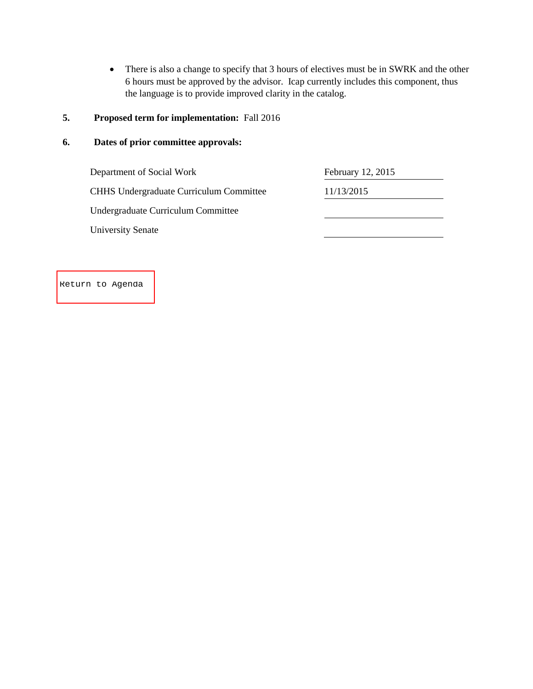• There is also a change to specify that 3 hours of electives must be in SWRK and the other 6 hours must be approved by the advisor. Icap currently includes this component, thus the language is to provide improved clarity in the catalog.

# **5. Proposed term for implementation:** Fall 2016

#### **6. Dates of prior committee approvals:**

Department of Social Work February 12, 2015 CHHS Undergraduate Curriculum Committee 11/13/2015 Undergraduate Curriculum Committee University Senate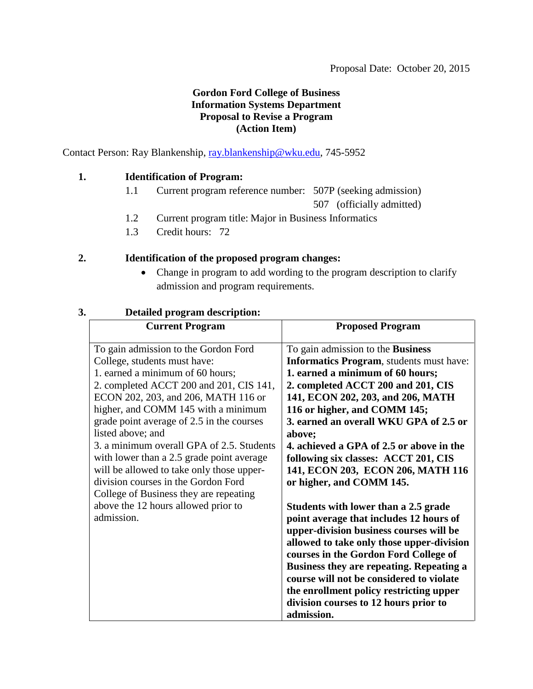# **Gordon Ford College of Business Information Systems Department Proposal to Revise a Program (Action Item)**

<span id="page-44-0"></span>Contact Person: Ray Blankenship, [ray.blankenship@wku.edu,](mailto:ray.blankenship@wku.edu) 745-5952

# **1. Identification of Program:**

1.1 Current program reference number: 507P (seeking admission)

507 (officially admitted)

- 1.2 Current program title: Major in Business Informatics
- 1.3 Credit hours: 72

# **2. Identification of the proposed program changes:**

• Change in program to add wording to the program description to clarify admission and program requirements.

| <b>Current Program</b>                                                                                                                                                                                                                                                                                                                                                                                                                                                                                                                                                           | <b>Proposed Program</b>                                                                                                                                                                                                                                                                                                                                                                                                                                                                                                                                                                                                                                                                                                                                                                                                                                                   |
|----------------------------------------------------------------------------------------------------------------------------------------------------------------------------------------------------------------------------------------------------------------------------------------------------------------------------------------------------------------------------------------------------------------------------------------------------------------------------------------------------------------------------------------------------------------------------------|---------------------------------------------------------------------------------------------------------------------------------------------------------------------------------------------------------------------------------------------------------------------------------------------------------------------------------------------------------------------------------------------------------------------------------------------------------------------------------------------------------------------------------------------------------------------------------------------------------------------------------------------------------------------------------------------------------------------------------------------------------------------------------------------------------------------------------------------------------------------------|
| To gain admission to the Gordon Ford<br>College, students must have:<br>1. earned a minimum of 60 hours;<br>2. completed ACCT 200 and 201, CIS 141,<br>ECON 202, 203, and 206, MATH 116 or<br>higher, and COMM 145 with a minimum<br>grade point average of 2.5 in the courses<br>listed above; and<br>3. a minimum overall GPA of 2.5. Students<br>with lower than a 2.5 grade point average<br>will be allowed to take only those upper-<br>division courses in the Gordon Ford<br>College of Business they are repeating<br>above the 12 hours allowed prior to<br>admission. | To gain admission to the <b>Business</b><br><b>Informatics Program</b> , students must have:<br>1. earned a minimum of 60 hours;<br>2. completed ACCT 200 and 201, CIS<br>141, ECON 202, 203, and 206, MATH<br>116 or higher, and COMM 145;<br>3. earned an overall WKU GPA of 2.5 or<br>above;<br>4. achieved a GPA of 2.5 or above in the<br>following six classes: ACCT 201, CIS<br>141, ECON 203, ECON 206, MATH 116<br>or higher, and COMM 145.<br>Students with lower than a 2.5 grade<br>point average that includes 12 hours of<br>upper-division business courses will be<br>allowed to take only those upper-division<br>courses in the Gordon Ford College of<br><b>Business they are repeating. Repeating a</b><br>course will not be considered to violate<br>the enrollment policy restricting upper<br>division courses to 12 hours prior to<br>admission. |

# **3. Detailed program description:**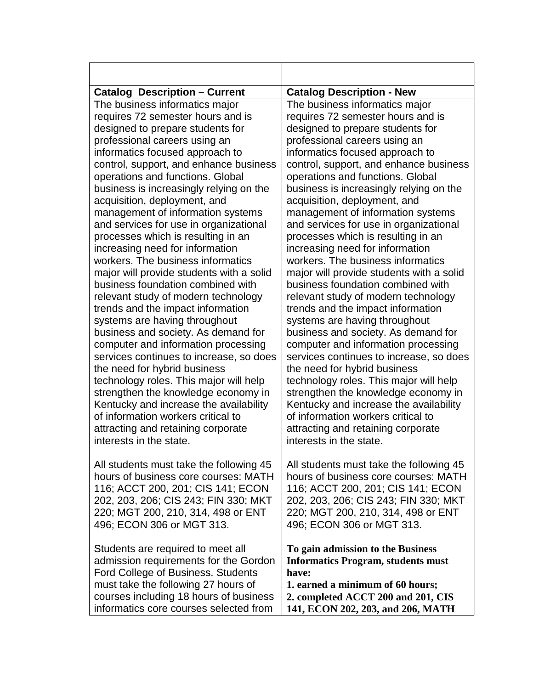| <b>Catalog Description - Current</b>      | <b>Catalog Description - New</b>          |
|-------------------------------------------|-------------------------------------------|
| The business informatics major            | The business informatics major            |
| requires 72 semester hours and is         | requires 72 semester hours and is         |
| designed to prepare students for          | designed to prepare students for          |
| professional careers using an             | professional careers using an             |
| informatics focused approach to           | informatics focused approach to           |
| control, support, and enhance business    | control, support, and enhance business    |
| operations and functions. Global          | operations and functions. Global          |
| business is increasingly relying on the   | business is increasingly relying on the   |
| acquisition, deployment, and              | acquisition, deployment, and              |
| management of information systems         | management of information systems         |
| and services for use in organizational    | and services for use in organizational    |
| processes which is resulting in an        | processes which is resulting in an        |
| increasing need for information           | increasing need for information           |
| workers. The business informatics         | workers. The business informatics         |
| major will provide students with a solid  | major will provide students with a solid  |
| business foundation combined with         | business foundation combined with         |
| relevant study of modern technology       | relevant study of modern technology       |
| trends and the impact information         | trends and the impact information         |
| systems are having throughout             | systems are having throughout             |
| business and society. As demand for       | business and society. As demand for       |
| computer and information processing       | computer and information processing       |
| services continues to increase, so does   | services continues to increase, so does   |
| the need for hybrid business              | the need for hybrid business              |
| technology roles. This major will help    | technology roles. This major will help    |
| strengthen the knowledge economy in       | strengthen the knowledge economy in       |
| Kentucky and increase the availability    | Kentucky and increase the availability    |
| of information workers critical to        | of information workers critical to        |
| attracting and retaining corporate        | attracting and retaining corporate        |
| interests in the state.                   | interests in the state.                   |
| All students must take the following 45   | All students must take the following 45   |
| hours of business core courses: MATH      | hours of business core courses: MATH      |
| 116; ACCT 200, 201; CIS 141; ECON         | 116; ACCT 200, 201; CIS 141; ECON         |
| 202, 203, 206; CIS 243; FIN 330; MKT      | 202, 203, 206; CIS 243; FIN 330; MKT      |
| 220; MGT 200, 210, 314, 498 or ENT        | 220; MGT 200, 210, 314, 498 or ENT        |
| 496; ECON 306 or MGT 313.                 | 496; ECON 306 or MGT 313.                 |
| Students are required to meet all         | To gain admission to the Business         |
| admission requirements for the Gordon     | <b>Informatics Program, students must</b> |
| <b>Ford College of Business. Students</b> | have:                                     |
| must take the following 27 hours of       | 1. earned a minimum of 60 hours;          |
| courses including 18 hours of business    | 2. completed ACCT 200 and 201, CIS        |
| informatics core courses selected from    | 141, ECON 202, 203, and 206, MATH         |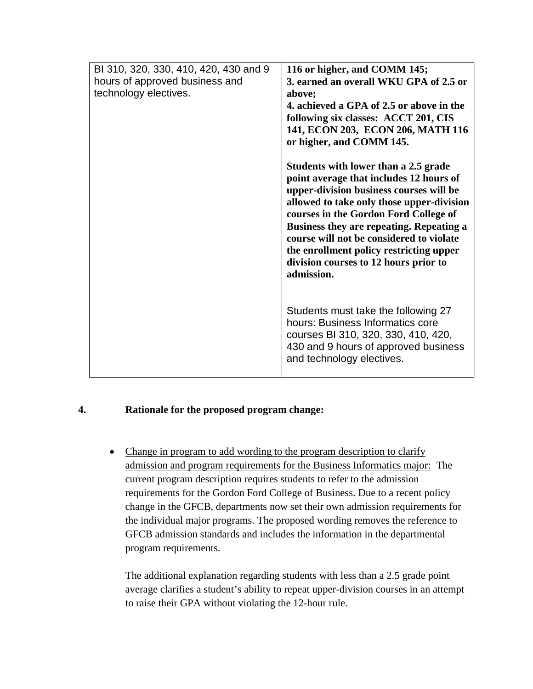| BI 310, 320, 330, 410, 420, 430 and 9<br>hours of approved business and<br>technology electives. | 116 or higher, and COMM 145;<br>3. earned an overall WKU GPA of 2.5 or<br>above;<br>4. achieved a GPA of 2.5 or above in the<br>following six classes: ACCT 201, CIS                                                                                                                                                                                               |
|--------------------------------------------------------------------------------------------------|--------------------------------------------------------------------------------------------------------------------------------------------------------------------------------------------------------------------------------------------------------------------------------------------------------------------------------------------------------------------|
|                                                                                                  | 141, ECON 203, ECON 206, MATH 116<br>or higher, and COMM 145.<br>Students with lower than a 2.5 grade                                                                                                                                                                                                                                                              |
|                                                                                                  | point average that includes 12 hours of<br>upper-division business courses will be<br>allowed to take only those upper-division<br>courses in the Gordon Ford College of<br>Business they are repeating. Repeating a<br>course will not be considered to violate<br>the enrollment policy restricting upper<br>division courses to 12 hours prior to<br>admission. |
|                                                                                                  | Students must take the following 27<br>hours: Business Informatics core<br>courses BI 310, 320, 330, 410, 420,<br>430 and 9 hours of approved business<br>and technology electives.                                                                                                                                                                                |

### **4. Rationale for the proposed program change:**

• Change in program to add wording to the program description to clarify admission and program requirements for the Business Informatics major: The current program description requires students to refer to the admission requirements for the Gordon Ford College of Business. Due to a recent policy change in the GFCB, departments now set their own admission requirements for the individual major programs. The proposed wording removes the reference to GFCB admission standards and includes the information in the departmental program requirements.

The additional explanation regarding students with less than a 2.5 grade point average clarifies a student's ability to repeat upper-division courses in an attempt to raise their GPA without violating the 12-hour rule.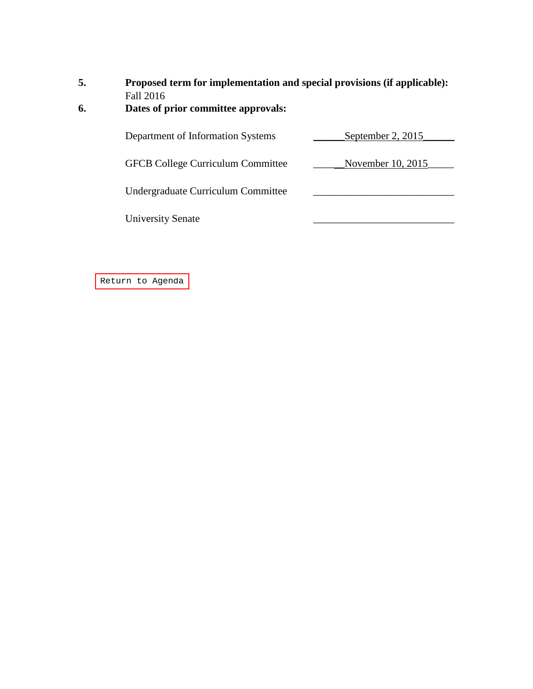# **5. Proposed term for implementation and special provisions (if applicable):**

# Fall 2016<br>**6.** Dates of p **6. Dates of prior committee approvals:**

| Department of Information Systems        | September 2, 2015 |
|------------------------------------------|-------------------|
|                                          |                   |
| <b>GFCB College Curriculum Committee</b> | November 10, 2015 |
|                                          |                   |
| Undergraduate Curriculum Committee       |                   |
| <b>University Senate</b>                 |                   |
|                                          |                   |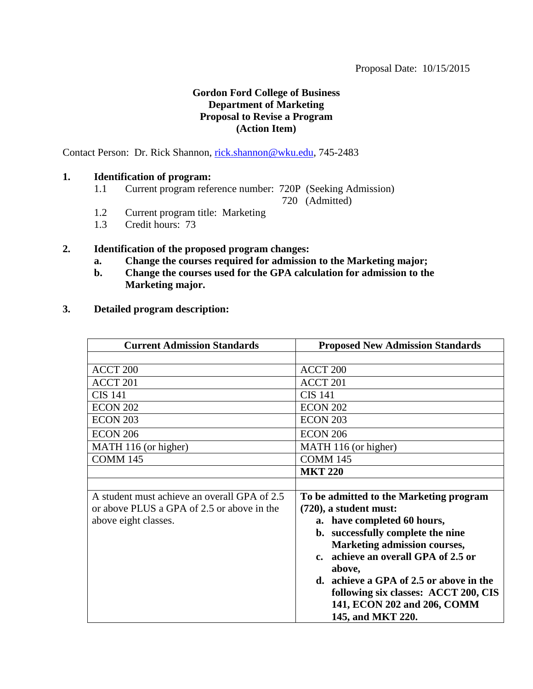# **Gordon Ford College of Business Department of Marketing Proposal to Revise a Program (Action Item)**

<span id="page-48-0"></span>Contact Person: Dr. Rick Shannon, [rick.shannon@wku.edu,](mailto:rick.shannon@wku.edu) 745-2483

# **1. Identification of program:**

1.1 Current program reference number: 720P (Seeking Admission)

720 (Admitted)

- 1.2 Current program title: Marketing
- 1.3 Credit hours: 73

### **2. Identification of the proposed program changes:**

- **a. Change the courses required for admission to the Marketing major;**
- **b. Change the courses used for the GPA calculation for admission to the Marketing major.**
- **3. Detailed program description:**

| <b>Current Admission Standards</b>           | <b>Proposed New Admission Standards</b> |
|----------------------------------------------|-----------------------------------------|
|                                              |                                         |
| ACCT <sub>200</sub>                          | ACCT <sub>200</sub>                     |
| ACCT <sub>201</sub>                          | ACCT 201                                |
| <b>CIS 141</b>                               | <b>CIS 141</b>                          |
| <b>ECON 202</b>                              | <b>ECON 202</b>                         |
| <b>ECON 203</b>                              | <b>ECON 203</b>                         |
| <b>ECON 206</b>                              | <b>ECON 206</b>                         |
| MATH 116 (or higher)                         | MATH 116 (or higher)                    |
| <b>COMM 145</b>                              | <b>COMM 145</b>                         |
|                                              | <b>MKT 220</b>                          |
|                                              |                                         |
| A student must achieve an overall GPA of 2.5 | To be admitted to the Marketing program |
| or above PLUS a GPA of 2.5 or above in the   | $(720)$ , a student must:               |
| above eight classes.                         | a. have completed 60 hours,             |
|                                              | b. successfully complete the nine       |
|                                              | <b>Marketing admission courses,</b>     |
|                                              | c. achieve an overall GPA of 2.5 or     |
|                                              | above,                                  |
|                                              | d. achieve a GPA of 2.5 or above in the |
|                                              | following six classes: ACCT 200, CIS    |
|                                              | 141, ECON 202 and 206, COMM             |
|                                              | 145, and MKT 220.                       |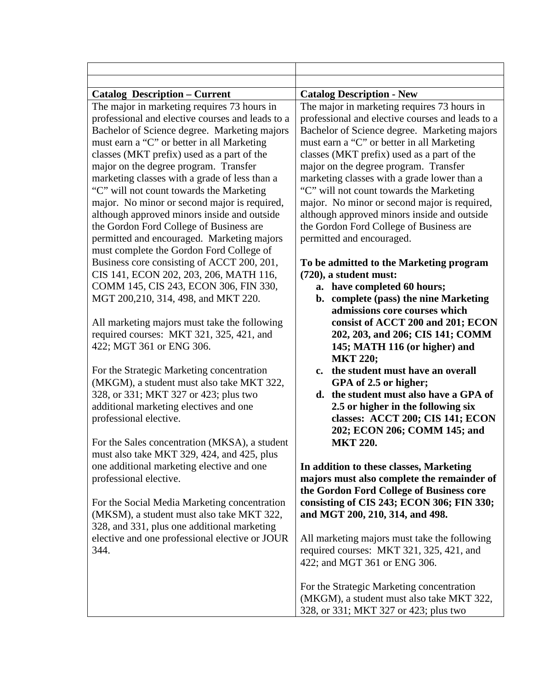| <b>Catalog Description - Current</b>                                                            | <b>Catalog Description - New</b>                                                                |
|-------------------------------------------------------------------------------------------------|-------------------------------------------------------------------------------------------------|
| The major in marketing requires 73 hours in<br>professional and elective courses and leads to a | The major in marketing requires 73 hours in<br>professional and elective courses and leads to a |
| Bachelor of Science degree. Marketing majors                                                    | Bachelor of Science degree. Marketing majors                                                    |
| must earn a "C" or better in all Marketing                                                      | must earn a "C" or better in all Marketing                                                      |
| classes (MKT prefix) used as a part of the                                                      | classes (MKT prefix) used as a part of the                                                      |
| major on the degree program. Transfer                                                           | major on the degree program. Transfer                                                           |
| marketing classes with a grade of less than a                                                   | marketing classes with a grade lower than a                                                     |
| "C" will not count towards the Marketing                                                        | "C" will not count towards the Marketing                                                        |
| major. No minor or second major is required,                                                    | major. No minor or second major is required,                                                    |
| although approved minors inside and outside                                                     | although approved minors inside and outside                                                     |
| the Gordon Ford College of Business are                                                         | the Gordon Ford College of Business are                                                         |
| permitted and encouraged. Marketing majors                                                      | permitted and encouraged.                                                                       |
| must complete the Gordon Ford College of                                                        |                                                                                                 |
| Business core consisting of ACCT 200, 201,                                                      | To be admitted to the Marketing program                                                         |
| CIS 141, ECON 202, 203, 206, MATH 116,<br>COMM 145, CIS 243, ECON 306, FIN 330,                 | (720), a student must:                                                                          |
| MGT 200,210, 314, 498, and MKT 220.                                                             | a. have completed 60 hours;<br>b. complete (pass) the nine Marketing                            |
|                                                                                                 | admissions core courses which                                                                   |
| All marketing majors must take the following                                                    | consist of ACCT 200 and 201; ECON                                                               |
| required courses: MKT 321, 325, 421, and                                                        | 202, 203, and 206; CIS 141; COMM                                                                |
| 422; MGT 361 or ENG 306.                                                                        | 145; MATH 116 (or higher) and                                                                   |
|                                                                                                 | <b>MKT 220;</b>                                                                                 |
| For the Strategic Marketing concentration                                                       | c. the student must have an overall                                                             |
| (MKGM), a student must also take MKT 322,                                                       | GPA of 2.5 or higher;                                                                           |
| 328, or 331; MKT 327 or 423; plus two                                                           | d. the student must also have a GPA of                                                          |
| additional marketing electives and one                                                          | 2.5 or higher in the following six                                                              |
| professional elective.                                                                          | classes: ACCT 200; CIS 141; ECON                                                                |
|                                                                                                 | 202; ECON 206; COMM 145; and                                                                    |
| For the Sales concentration (MKSA), a student                                                   | <b>MKT 220.</b>                                                                                 |
| must also take MKT 329, 424, and 425, plus<br>one additional marketing elective and one         | In addition to these classes, Marketing                                                         |
| professional elective.                                                                          | majors must also complete the remainder of                                                      |
|                                                                                                 | the Gordon Ford College of Business core                                                        |
| For the Social Media Marketing concentration                                                    | consisting of CIS 243; ECON 306; FIN 330;                                                       |
| (MKSM), a student must also take MKT 322,                                                       | and MGT 200, 210, 314, and 498.                                                                 |
| 328, and 331, plus one additional marketing                                                     |                                                                                                 |
| elective and one professional elective or JOUR                                                  | All marketing majors must take the following                                                    |
| 344.                                                                                            | required courses: MKT 321, 325, 421, and                                                        |
|                                                                                                 | 422; and MGT 361 or ENG 306.                                                                    |
|                                                                                                 |                                                                                                 |
|                                                                                                 | For the Strategic Marketing concentration                                                       |
|                                                                                                 | (MKGM), a student must also take MKT 322,<br>328, or 331; MKT 327 or 423; plus two              |
|                                                                                                 |                                                                                                 |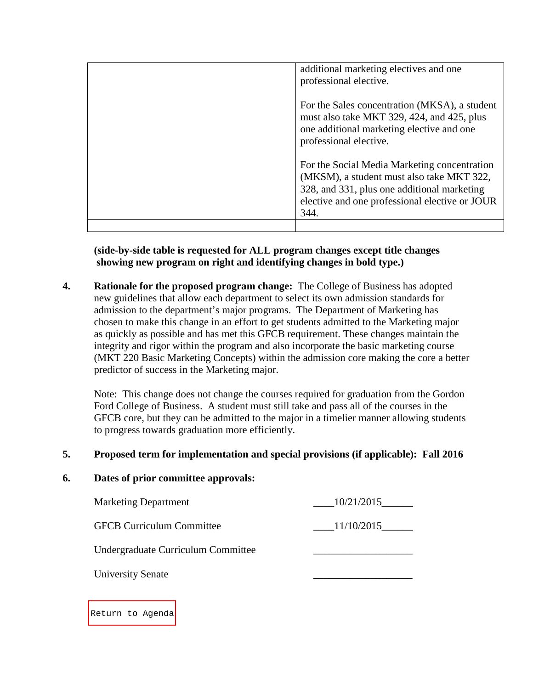| additional marketing electives and one<br>professional elective.                                                                                                                                   |
|----------------------------------------------------------------------------------------------------------------------------------------------------------------------------------------------------|
| For the Sales concentration (MKSA), a student<br>must also take MKT 329, 424, and 425, plus<br>one additional marketing elective and one<br>professional elective.                                 |
| For the Social Media Marketing concentration<br>(MKSM), a student must also take MKT 322,<br>328, and 331, plus one additional marketing<br>elective and one professional elective or JOUR<br>344. |
|                                                                                                                                                                                                    |

**(side-by-side table is requested for ALL program changes except title changes showing new program on right and identifying changes in bold type.)**

**4. Rationale for the proposed program change:** The College of Business has adopted new guidelines that allow each department to select its own admission standards for admission to the department's major programs. The Department of Marketing has chosen to make this change in an effort to get students admitted to the Marketing major as quickly as possible and has met this GFCB requirement. These changes maintain the integrity and rigor within the program and also incorporate the basic marketing course (MKT 220 Basic Marketing Concepts) within the admission core making the core a better predictor of success in the Marketing major.

Note: This change does not change the courses required for graduation from the Gordon Ford College of Business. A student must still take and pass all of the courses in the GFCB core, but they can be admitted to the major in a timelier manner allowing students to progress towards graduation more efficiently.

# **5. Proposed term for implementation and special provisions (if applicable): Fall 2016**

### **6. Dates of prior committee approvals:**

| <b>Marketing Department</b>        | 10/21/2015 |
|------------------------------------|------------|
| <b>GFCB Curriculum Committee</b>   | 11/10/2015 |
| Undergraduate Curriculum Committee |            |
| <b>University Senate</b>           |            |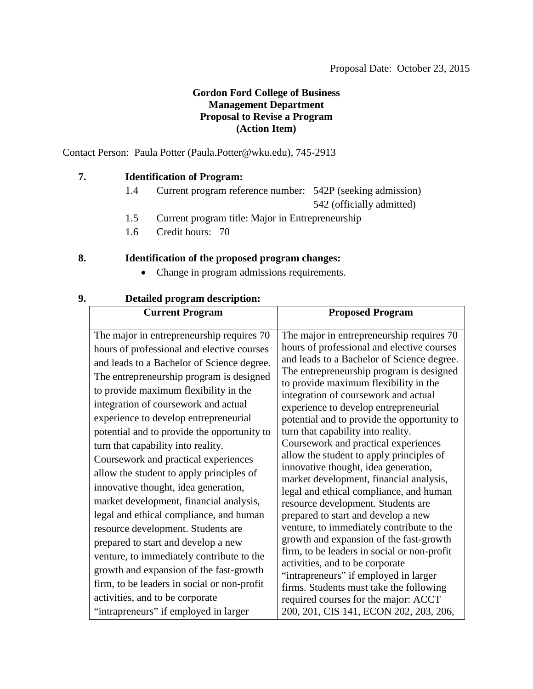# **Gordon Ford College of Business Management Department Proposal to Revise a Program (Action Item)**

<span id="page-51-0"></span>Contact Person: Paula Potter (Paula.Potter@wku.edu), 745-2913

### **7. Identification of Program:**

- 1.4 Current program reference number: 542P (seeking admission) 542 (officially admitted)
- 1.5 Current program title: Major in Entrepreneurship
- 1.6 Credit hours: 70

# **8. Identification of the proposed program changes:**

• Change in program admissions requirements.

| <b>Current Program</b>                                                                                                                                                                                                                                                                                                                                                                                                                                                                                                                                                                                                                                                                                                                                                                  | <b>Proposed Program</b>                                                                                                                                                                                                                                                                                                                                                                                                                                                                                                                                                                                                                                                                                                                                                                                                                                                                                            |
|-----------------------------------------------------------------------------------------------------------------------------------------------------------------------------------------------------------------------------------------------------------------------------------------------------------------------------------------------------------------------------------------------------------------------------------------------------------------------------------------------------------------------------------------------------------------------------------------------------------------------------------------------------------------------------------------------------------------------------------------------------------------------------------------|--------------------------------------------------------------------------------------------------------------------------------------------------------------------------------------------------------------------------------------------------------------------------------------------------------------------------------------------------------------------------------------------------------------------------------------------------------------------------------------------------------------------------------------------------------------------------------------------------------------------------------------------------------------------------------------------------------------------------------------------------------------------------------------------------------------------------------------------------------------------------------------------------------------------|
| The major in entrepreneurship requires 70<br>hours of professional and elective courses<br>and leads to a Bachelor of Science degree.<br>The entrepreneurship program is designed<br>to provide maximum flexibility in the<br>integration of coursework and actual<br>experience to develop entrepreneurial<br>potential and to provide the opportunity to<br>turn that capability into reality.<br>Coursework and practical experiences<br>allow the student to apply principles of<br>innovative thought, idea generation,<br>market development, financial analysis,<br>legal and ethical compliance, and human<br>resource development. Students are<br>prepared to start and develop a new<br>venture, to immediately contribute to the<br>growth and expansion of the fast-growth | The major in entrepreneurship requires 70<br>hours of professional and elective courses<br>and leads to a Bachelor of Science degree.<br>The entrepreneurship program is designed<br>to provide maximum flexibility in the<br>integration of coursework and actual<br>experience to develop entrepreneurial<br>potential and to provide the opportunity to<br>turn that capability into reality.<br>Coursework and practical experiences<br>allow the student to apply principles of<br>innovative thought, idea generation,<br>market development, financial analysis,<br>legal and ethical compliance, and human<br>resource development. Students are<br>prepared to start and develop a new<br>venture, to immediately contribute to the<br>growth and expansion of the fast-growth<br>firm, to be leaders in social or non-profit<br>activities, and to be corporate<br>"intrapreneurs" if employed in larger |
| firm, to be leaders in social or non-profit<br>activities, and to be corporate<br>"intrapreneurs" if employed in larger                                                                                                                                                                                                                                                                                                                                                                                                                                                                                                                                                                                                                                                                 | firms. Students must take the following<br>required courses for the major: ACCT<br>200, 201, CIS 141, ECON 202, 203, 206,                                                                                                                                                                                                                                                                                                                                                                                                                                                                                                                                                                                                                                                                                                                                                                                          |

# **9. Detailed program description:**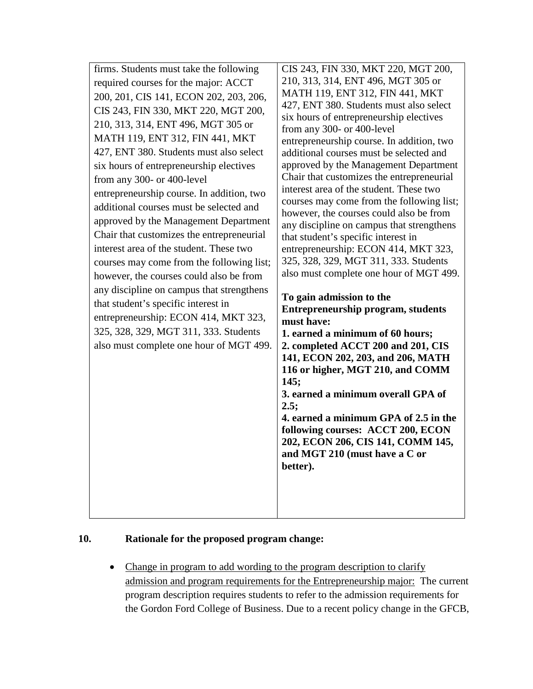# **10. Rationale for the proposed program change:**

• Change in program to add wording to the program description to clarify admission and program requirements for the Entrepreneurship major: The current program description requires students to refer to the admission requirements for the Gordon Ford College of Business. Due to a recent policy change in the GFCB,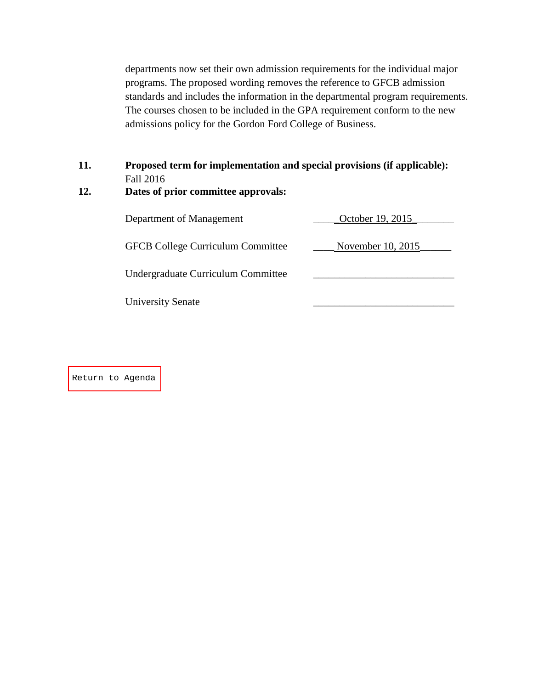departments now set their own admission requirements for the individual major programs. The proposed wording removes the reference to GFCB admission standards and includes the information in the departmental program requirements. The courses chosen to be included in the GPA requirement conform to the new admissions policy for the Gordon Ford College of Business.

# **11. Proposed term for implementation and special provisions (if applicable):** Fall 2016

# **12. Dates of prior committee approvals:**

| Department of Management                 | October 19, 2015  |
|------------------------------------------|-------------------|
| <b>GFCB College Curriculum Committee</b> | November 10, 2015 |
| Undergraduate Curriculum Committee       |                   |
| <b>University Senate</b>                 |                   |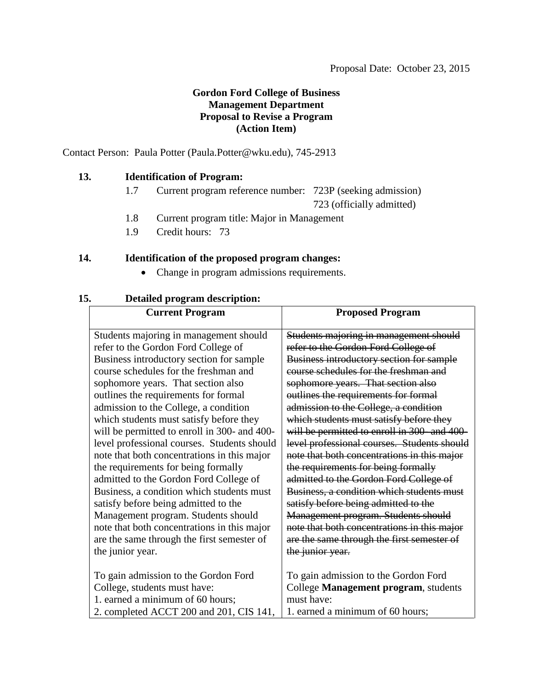# **Gordon Ford College of Business Management Department Proposal to Revise a Program (Action Item)**

<span id="page-54-0"></span>Contact Person: Paula Potter (Paula.Potter@wku.edu), 745-2913

### **13. Identification of Program:**

1.7 Current program reference number: 723P (seeking admission)

723 (officially admitted)

- 1.8 Current program title: Major in Management
- 1.9 Credit hours: 73

### **14. Identification of the proposed program changes:**

• Change in program admissions requirements.

| <b>Current Program</b>                       | <b>Proposed Program</b>                     |
|----------------------------------------------|---------------------------------------------|
| Students majoring in management should       | Students majoring in management should      |
| refer to the Gordon Ford College of          | refer to the Gordon Ford College of         |
| Business introductory section for sample     | Business introductory section for sample    |
| course schedules for the freshman and        | course schedules for the freshman and       |
| sophomore years. That section also           | sophomore years. That section also          |
| outlines the requirements for formal         | outlines the requirements for formal        |
| admission to the College, a condition        | admission to the College, a condition       |
| which students must satisfy before they      | which students must satisfy before they     |
| will be permitted to enroll in 300- and 400- | will be permitted to enroll in 300-and 400- |
| level professional courses. Students should  | level professional courses. Students should |
| note that both concentrations in this major  | note that both concentrations in this major |
| the requirements for being formally          | the requirements for being formally         |
| admitted to the Gordon Ford College of       | admitted to the Gordon Ford College of      |
| Business, a condition which students must    | Business, a condition which students must   |
| satisfy before being admitted to the         | satisfy before being admitted to the        |
| Management program. Students should          | Management program. Students should         |
| note that both concentrations in this major  | note that both concentrations in this major |
| are the same through the first semester of   | are the same through the first semester of  |
| the junior year.                             | the junior year.                            |
|                                              |                                             |
| To gain admission to the Gordon Ford         | To gain admission to the Gordon Ford        |
| College, students must have:                 | College Management program, students        |
| 1. earned a minimum of 60 hours;             | must have:                                  |
| 2. completed ACCT 200 and 201, CIS 141,      | 1. earned a minimum of 60 hours;            |

# **15. Detailed program description:**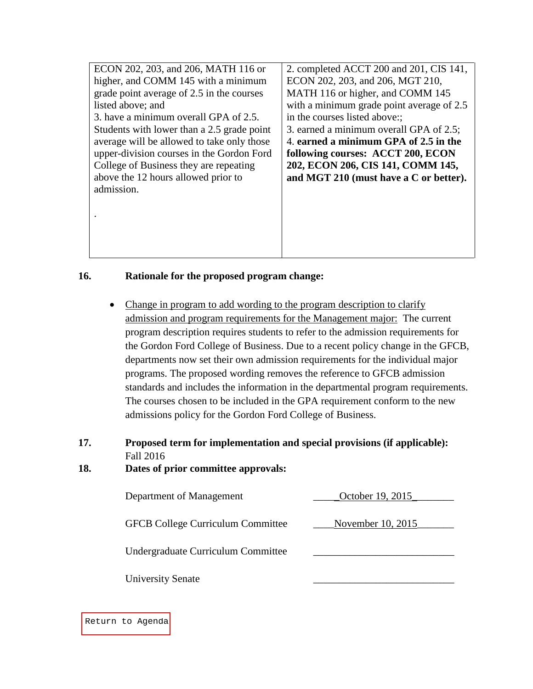| ECON 202, 203, and 206, MATH 116 or        | 2. completed ACCT 200 and 201, CIS 141,   |
|--------------------------------------------|-------------------------------------------|
| higher, and COMM 145 with a minimum        | ECON 202, 203, and 206, MGT 210,          |
| grade point average of 2.5 in the courses  | MATH 116 or higher, and COMM 145          |
| listed above; and                          | with a minimum grade point average of 2.5 |
| 3. have a minimum overall GPA of 2.5.      | in the courses listed above:              |
| Students with lower than a 2.5 grade point | 3. earned a minimum overall GPA of 2.5;   |
| average will be allowed to take only those | 4. earned a minimum GPA of 2.5 in the     |
| upper-division courses in the Gordon Ford  | following courses: ACCT 200, ECON         |
| College of Business they are repeating     | 202, ECON 206, CIS 141, COMM 145,         |
| above the 12 hours allowed prior to        | and MGT 210 (must have a C or better).    |
| admission.                                 |                                           |
|                                            |                                           |
|                                            |                                           |
|                                            |                                           |
|                                            |                                           |

# **16. Rationale for the proposed program change:**

- Change in program to add wording to the program description to clarify admission and program requirements for the Management major: The current program description requires students to refer to the admission requirements for the Gordon Ford College of Business. Due to a recent policy change in the GFCB, departments now set their own admission requirements for the individual major programs. The proposed wording removes the reference to GFCB admission standards and includes the information in the departmental program requirements. The courses chosen to be included in the GPA requirement conform to the new admissions policy for the Gordon Ford College of Business.
- **17. Proposed term for implementation and special provisions (if applicable):** Fall 2016

### **18. Dates of prior committee approvals:**

| Department of Management                 | October 19, 2015  |
|------------------------------------------|-------------------|
| <b>GFCB College Curriculum Committee</b> | November 10, 2015 |
| Undergraduate Curriculum Committee       |                   |
| <b>University Senate</b>                 |                   |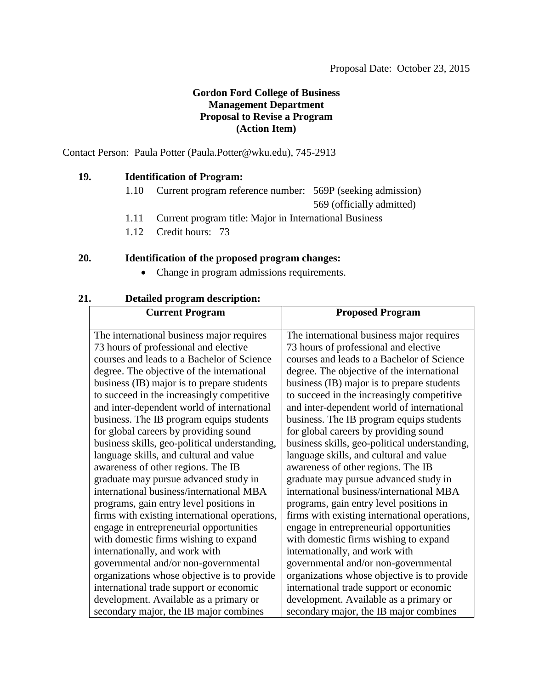# **Gordon Ford College of Business Management Department Proposal to Revise a Program (Action Item)**

<span id="page-56-0"></span>Contact Person: Paula Potter (Paula.Potter@wku.edu), 745-2913

### **19. Identification of Program:**

1.10 Current program reference number: 569P (seeking admission)

569 (officially admitted)

- 1.11 Current program title: Major in International Business
- 1.12 Credit hours: 73

# **20. Identification of the proposed program changes:**

• Change in program admissions requirements.

| <b>Current Program</b>                        | <b>Proposed Program</b>                       |
|-----------------------------------------------|-----------------------------------------------|
| The international business major requires     | The international business major requires     |
| 73 hours of professional and elective         | 73 hours of professional and elective         |
| courses and leads to a Bachelor of Science    | courses and leads to a Bachelor of Science    |
| degree. The objective of the international    | degree. The objective of the international    |
| business (IB) major is to prepare students    | business (IB) major is to prepare students    |
| to succeed in the increasingly competitive    | to succeed in the increasingly competitive    |
| and inter-dependent world of international    | and inter-dependent world of international    |
| business. The IB program equips students      | business. The IB program equips students      |
| for global careers by providing sound         | for global careers by providing sound         |
| business skills, geo-political understanding, | business skills, geo-political understanding, |
| language skills, and cultural and value       | language skills, and cultural and value       |
| awareness of other regions. The IB            | awareness of other regions. The IB            |
| graduate may pursue advanced study in         | graduate may pursue advanced study in         |
| international business/international MBA      | international business/international MBA      |
| programs, gain entry level positions in       | programs, gain entry level positions in       |
| firms with existing international operations, | firms with existing international operations, |
| engage in entrepreneurial opportunities       | engage in entrepreneurial opportunities       |
| with domestic firms wishing to expand         | with domestic firms wishing to expand         |
| internationally, and work with                | internationally, and work with                |
| governmental and/or non-governmental          | governmental and/or non-governmental          |
| organizations whose objective is to provide   | organizations whose objective is to provide   |
| international trade support or economic       | international trade support or economic       |
| development. Available as a primary or        | development. Available as a primary or        |
| secondary major, the IB major combines        | secondary major, the IB major combines        |

# **21. Detailed program description:**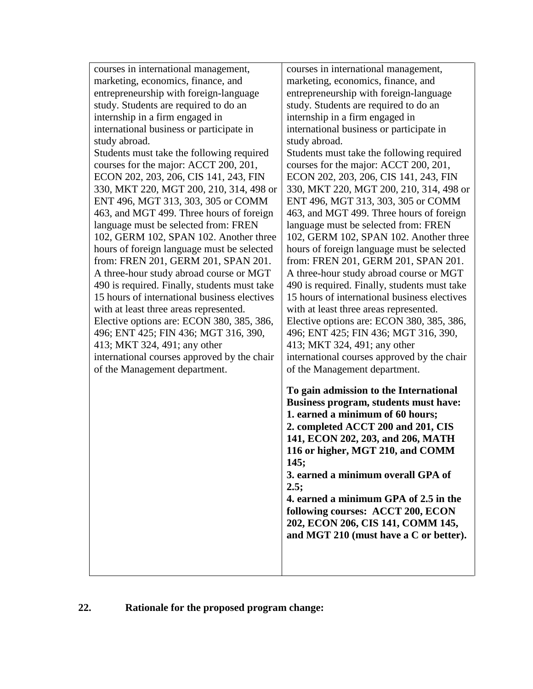| courses in international management,                                                                                                                                                                                                                                                                                                                                                                                                                                                                                                                                                                                                                              | courses in international management,                                                                                                                                                                                                                                                                                                                                                                                                                                                                                                                                                                                                                              |
|-------------------------------------------------------------------------------------------------------------------------------------------------------------------------------------------------------------------------------------------------------------------------------------------------------------------------------------------------------------------------------------------------------------------------------------------------------------------------------------------------------------------------------------------------------------------------------------------------------------------------------------------------------------------|-------------------------------------------------------------------------------------------------------------------------------------------------------------------------------------------------------------------------------------------------------------------------------------------------------------------------------------------------------------------------------------------------------------------------------------------------------------------------------------------------------------------------------------------------------------------------------------------------------------------------------------------------------------------|
| marketing, economics, finance, and                                                                                                                                                                                                                                                                                                                                                                                                                                                                                                                                                                                                                                | marketing, economics, finance, and                                                                                                                                                                                                                                                                                                                                                                                                                                                                                                                                                                                                                                |
| entrepreneurship with foreign-language                                                                                                                                                                                                                                                                                                                                                                                                                                                                                                                                                                                                                            | entrepreneurship with foreign-language                                                                                                                                                                                                                                                                                                                                                                                                                                                                                                                                                                                                                            |
| study. Students are required to do an                                                                                                                                                                                                                                                                                                                                                                                                                                                                                                                                                                                                                             | study. Students are required to do an                                                                                                                                                                                                                                                                                                                                                                                                                                                                                                                                                                                                                             |
| internship in a firm engaged in                                                                                                                                                                                                                                                                                                                                                                                                                                                                                                                                                                                                                                   | internship in a firm engaged in                                                                                                                                                                                                                                                                                                                                                                                                                                                                                                                                                                                                                                   |
| international business or participate in                                                                                                                                                                                                                                                                                                                                                                                                                                                                                                                                                                                                                          | international business or participate in                                                                                                                                                                                                                                                                                                                                                                                                                                                                                                                                                                                                                          |
| study abroad.                                                                                                                                                                                                                                                                                                                                                                                                                                                                                                                                                                                                                                                     | study abroad.                                                                                                                                                                                                                                                                                                                                                                                                                                                                                                                                                                                                                                                     |
| Students must take the following required<br>courses for the major: ACCT 200, 201,<br>ECON 202, 203, 206, CIS 141, 243, FIN<br>330, MKT 220, MGT 200, 210, 314, 498 or<br>ENT 496, MGT 313, 303, 305 or COMM<br>463, and MGT 499. Three hours of foreign<br>language must be selected from: FREN<br>102, GERM 102, SPAN 102. Another three<br>hours of foreign language must be selected<br>from: FREN 201, GERM 201, SPAN 201.<br>A three-hour study abroad course or MGT<br>490 is required. Finally, students must take<br>15 hours of international business electives<br>with at least three areas represented.<br>Elective options are: ECON 380, 385, 386, | Students must take the following required<br>courses for the major: ACCT 200, 201,<br>ECON 202, 203, 206, CIS 141, 243, FIN<br>330, MKT 220, MGT 200, 210, 314, 498 or<br>ENT 496, MGT 313, 303, 305 or COMM<br>463, and MGT 499. Three hours of foreign<br>language must be selected from: FREN<br>102, GERM 102, SPAN 102. Another three<br>hours of foreign language must be selected<br>from: FREN 201, GERM 201, SPAN 201.<br>A three-hour study abroad course or MGT<br>490 is required. Finally, students must take<br>15 hours of international business electives<br>with at least three areas represented.<br>Elective options are: ECON 380, 385, 386, |
| 496; ENT 425; FIN 436; MGT 316, 390,<br>413; MKT 324, 491; any other<br>international courses approved by the chair<br>of the Management department.                                                                                                                                                                                                                                                                                                                                                                                                                                                                                                              | 496; ENT 425; FIN 436; MGT 316, 390,<br>413; MKT 324, 491; any other<br>international courses approved by the chair<br>of the Management department.                                                                                                                                                                                                                                                                                                                                                                                                                                                                                                              |
|                                                                                                                                                                                                                                                                                                                                                                                                                                                                                                                                                                                                                                                                   | To gain admission to the International<br>Business program, students must have:<br>1. earned a minimum of 60 hours;<br>2. completed ACCT 200 and 201, CIS<br>141, ECON 202, 203, and 206, MATH<br>116 or higher, MGT 210, and COMM<br>145;<br>3. earned a minimum overall GPA of<br>2.5;<br>4. earned a minimum GPA of 2.5 in the<br>following courses: ACCT 200, ECON<br>202, ECON 206, CIS 141, COMM 145,<br>and MGT 210 (must have a C or better).                                                                                                                                                                                                             |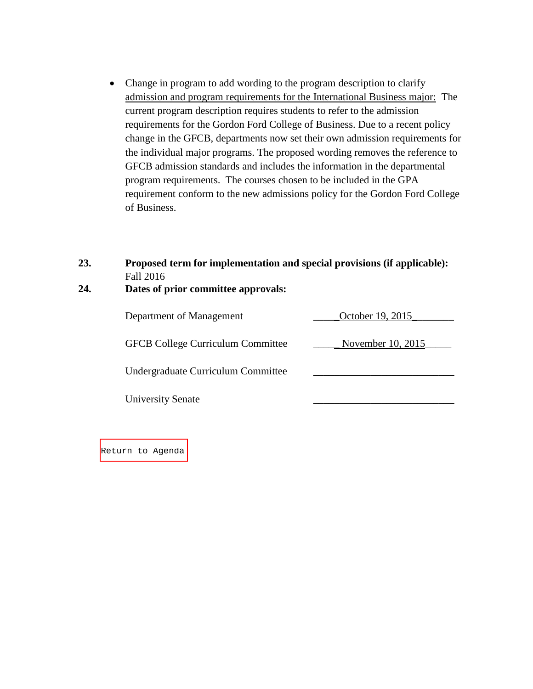• Change in program to add wording to the program description to clarify admission and program requirements for the International Business major: The current program description requires students to refer to the admission requirements for the Gordon Ford College of Business. Due to a recent policy change in the GFCB, departments now set their own admission requirements for the individual major programs. The proposed wording removes the reference to GFCB admission standards and includes the information in the departmental program requirements. The courses chosen to be included in the GPA requirement conform to the new admissions policy for the Gordon Ford College of Business.

| 23. | Proposed term for implementation and special provisions (if applicable): |
|-----|--------------------------------------------------------------------------|
|     | Fall 2016                                                                |

# **24. Dates of prior committee approvals:**

| Department of Management                 | October 19, 2015  |
|------------------------------------------|-------------------|
| <b>GFCB College Curriculum Committee</b> | November 10, 2015 |
| Undergraduate Curriculum Committee       |                   |
| <b>University Senate</b>                 |                   |
|                                          |                   |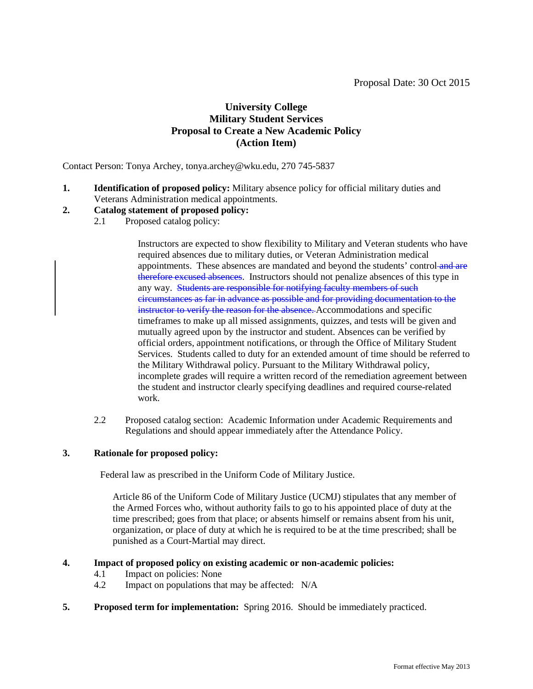# **University College Military Student Services Proposal to Create a New Academic Policy (Action Item)**

<span id="page-59-0"></span>Contact Person: Tonya Archey, tonya.archey@wku.edu, 270 745-5837

**1. Identification of proposed policy:** Military absence policy for official military duties and Veterans Administration medical appointments.

# **2. Catalog statement of proposed policy:**

2.1 Proposed catalog policy:

Instructors are expected to show flexibility to Military and Veteran students who have required absences due to military duties, or Veteran Administration medical appointments. These absences are mandated and beyond the students' control and are therefore excused absences. Instructors should not penalize absences of this type in any way. Students are responsible for notifying faculty members of such circumstances as far in advance as possible and for providing documentation to the instructor to verify the reason for the absence. Accommodations and specific timeframes to make up all missed assignments, quizzes, and tests will be given and mutually agreed upon by the instructor and student. Absences can be verified by official orders, appointment notifications, or through the Office of Military Student Services. Students called to duty for an extended amount of time should be referred to the Military Withdrawal policy. Pursuant to the Military Withdrawal policy, incomplete grades will require a written record of the remediation agreement between the student and instructor clearly specifying deadlines and required course-related work.

2.2 Proposed catalog section: Academic Information under Academic Requirements and Regulations and should appear immediately after the Attendance Policy.

#### **3. Rationale for proposed policy:**

Federal law as prescribed in the Uniform Code of Military Justice.

Article 86 of the Uniform Code of Military Justice (UCMJ) stipulates that any member of the Armed Forces who, without authority fails to go to his appointed place of duty at the time prescribed; goes from that place; or absents himself or remains absent from his unit, organization, or place of duty at which he is required to be at the time prescribed; shall be punished as a Court-Martial may direct.

#### **4. Impact of proposed policy on existing academic or non-academic policies:**

- 4.1 Impact on policies: None<br>4.2 Impact on populations that
- Impact on populations that may be affected:  $N/A$
- **5. Proposed term for implementation:** Spring 2016. Should be immediately practiced.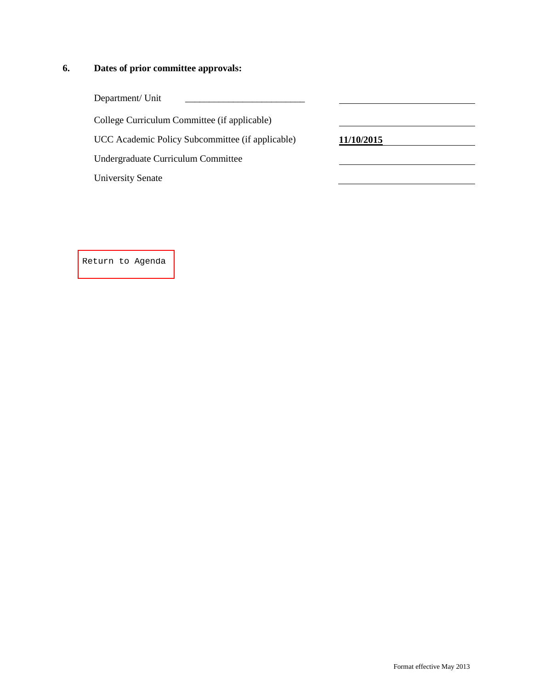# **6. Dates of prior committee approvals:**

| Department/ Unit                                 |            |
|--------------------------------------------------|------------|
| College Curriculum Committee (if applicable)     |            |
| UCC Academic Policy Subcommittee (if applicable) | 11/10/2015 |
| Undergraduate Curriculum Committee               |            |
| <b>University Senate</b>                         |            |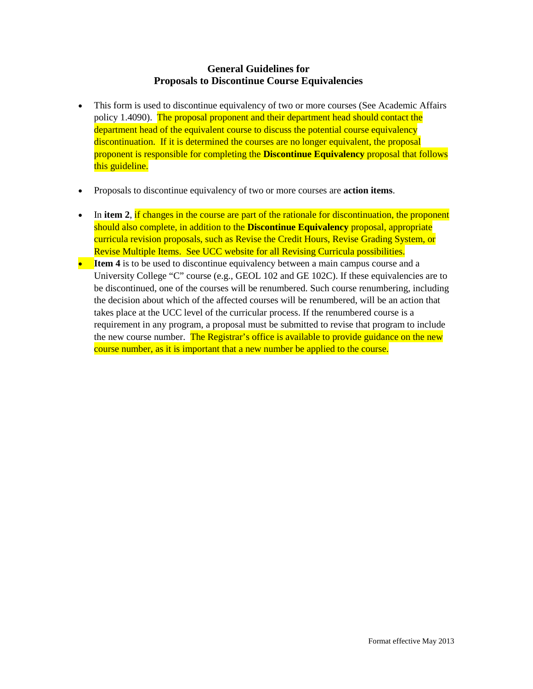# **General Guidelines for Proposals to Discontinue Course Equivalencies**

- <span id="page-61-0"></span>• This form is used to discontinue equivalency of two or more courses (See Academic Affairs policy 1.4090). The proposal proponent and their department head should contact the department head of the equivalent course to discuss the potential course equivalency discontinuation. If it is determined the courses are no longer equivalent, the proposal proponent is responsible for completing the **Discontinue Equivalency** proposal that follows this guideline.
- Proposals to discontinue equivalency of two or more courses are **action items**.
- In item 2, if changes in the course are part of the rationale for discontinuation, the proponent should also complete, in addition to the **Discontinue Equivalency** proposal, appropriate curricula revision proposals, such as Revise the Credit Hours, Revise Grading System, or Revise Multiple Items. See UCC website for all Revising Curricula possibilities.
- **Item 4** is to be used to discontinue equivalency between a main campus course and a University College "C" course (e.g., GEOL 102 and GE 102C). If these equivalencies are to be discontinued, one of the courses will be renumbered. Such course renumbering, including the decision about which of the affected courses will be renumbered, will be an action that takes place at the UCC level of the curricular process. If the renumbered course is a requirement in any program, a proposal must be submitted to revise that program to include the new course number. The Registrar's office is available to provide guidance on the new course number, as it is important that a new number be applied to the course.